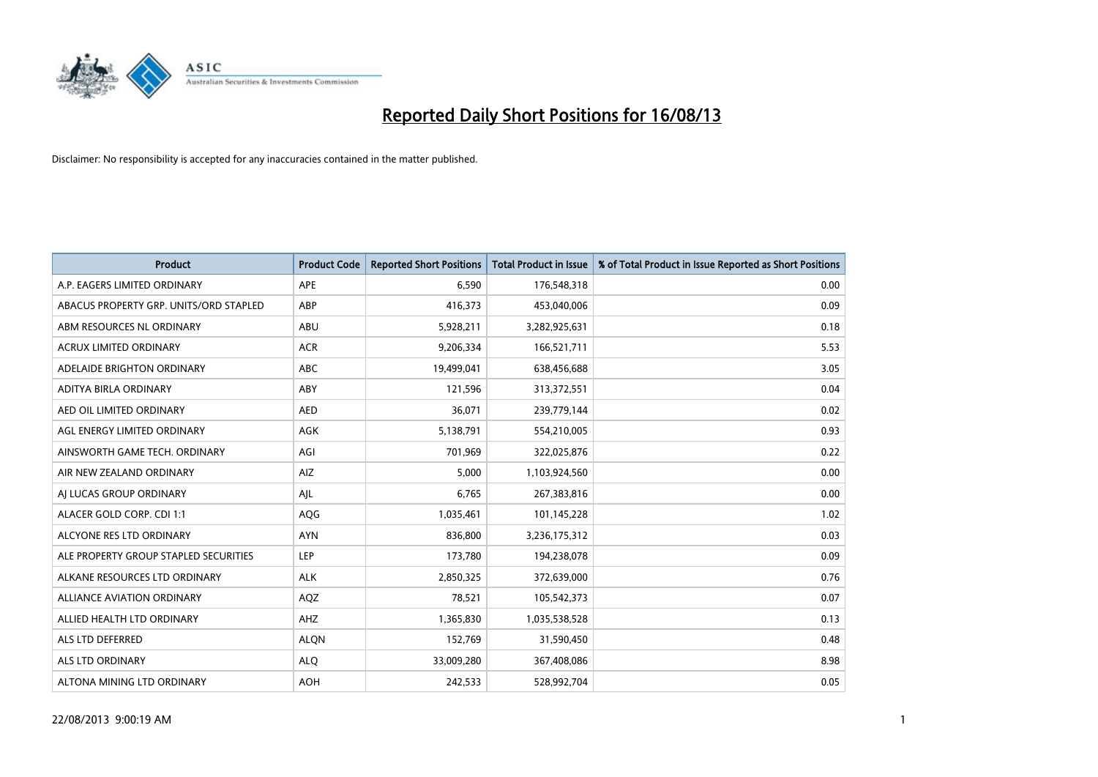

| <b>Product</b>                         | <b>Product Code</b> | <b>Reported Short Positions</b> | Total Product in Issue | % of Total Product in Issue Reported as Short Positions |
|----------------------------------------|---------------------|---------------------------------|------------------------|---------------------------------------------------------|
| A.P. EAGERS LIMITED ORDINARY           | APE                 | 6.590                           | 176,548,318            | 0.00                                                    |
| ABACUS PROPERTY GRP. UNITS/ORD STAPLED | ABP                 | 416,373                         | 453,040,006            | 0.09                                                    |
| ABM RESOURCES NL ORDINARY              | ABU                 | 5,928,211                       | 3,282,925,631          | 0.18                                                    |
| ACRUX LIMITED ORDINARY                 | <b>ACR</b>          | 9,206,334                       | 166,521,711            | 5.53                                                    |
| ADELAIDE BRIGHTON ORDINARY             | <b>ABC</b>          | 19,499,041                      | 638,456,688            | 3.05                                                    |
| ADITYA BIRLA ORDINARY                  | ABY                 | 121,596                         | 313,372,551            | 0.04                                                    |
| AED OIL LIMITED ORDINARY               | <b>AED</b>          | 36,071                          | 239,779,144            | 0.02                                                    |
| AGL ENERGY LIMITED ORDINARY            | <b>AGK</b>          | 5,138,791                       | 554,210,005            | 0.93                                                    |
| AINSWORTH GAME TECH. ORDINARY          | AGI                 | 701,969                         | 322,025,876            | 0.22                                                    |
| AIR NEW ZEALAND ORDINARY               | AIZ                 | 5,000                           | 1,103,924,560          | 0.00                                                    |
| AI LUCAS GROUP ORDINARY                | AJL                 | 6,765                           | 267,383,816            | 0.00                                                    |
| ALACER GOLD CORP. CDI 1:1              | AQG                 | 1,035,461                       | 101,145,228            | 1.02                                                    |
| ALCYONE RES LTD ORDINARY               | <b>AYN</b>          | 836,800                         | 3,236,175,312          | 0.03                                                    |
| ALE PROPERTY GROUP STAPLED SECURITIES  | <b>LEP</b>          | 173,780                         | 194,238,078            | 0.09                                                    |
| ALKANE RESOURCES LTD ORDINARY          | <b>ALK</b>          | 2,850,325                       | 372,639,000            | 0.76                                                    |
| <b>ALLIANCE AVIATION ORDINARY</b>      | AQZ                 | 78,521                          | 105,542,373            | 0.07                                                    |
| ALLIED HEALTH LTD ORDINARY             | AHZ                 | 1,365,830                       | 1,035,538,528          | 0.13                                                    |
| ALS LTD DEFERRED                       | <b>ALQN</b>         | 152,769                         | 31,590,450             | 0.48                                                    |
| ALS LTD ORDINARY                       | <b>ALO</b>          | 33,009,280                      | 367,408,086            | 8.98                                                    |
| ALTONA MINING LTD ORDINARY             | <b>AOH</b>          | 242,533                         | 528,992,704            | 0.05                                                    |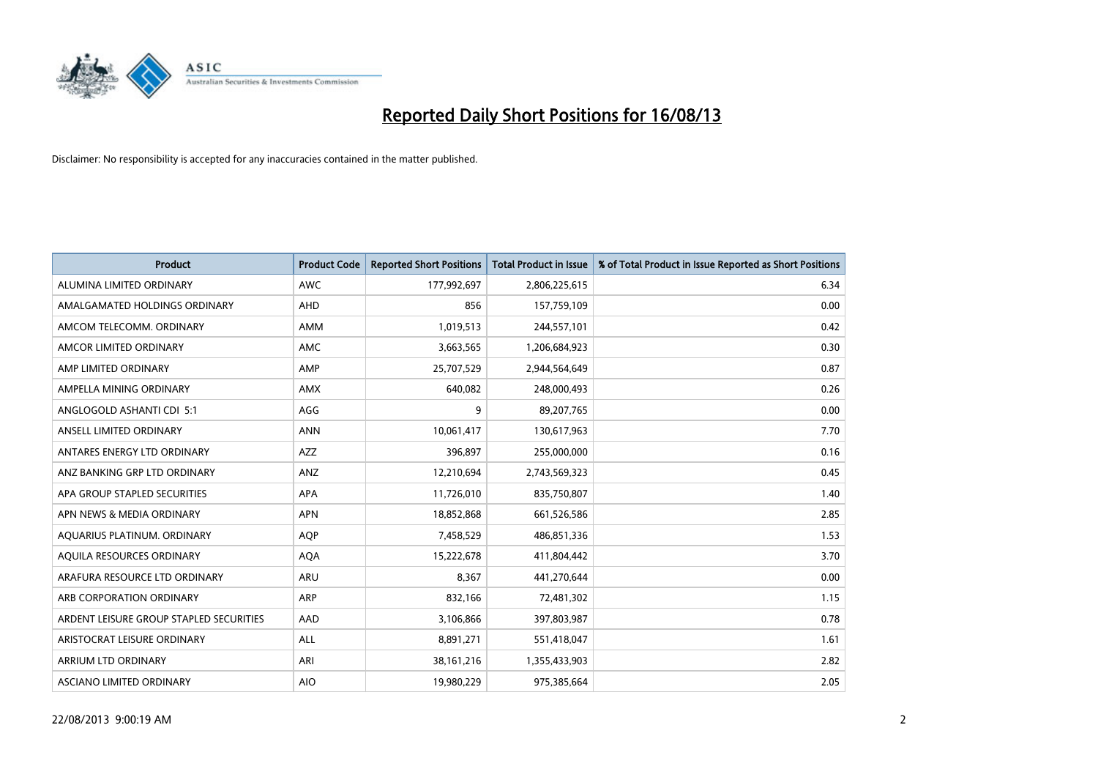

| <b>Product</b>                          | <b>Product Code</b> | <b>Reported Short Positions</b> | <b>Total Product in Issue</b> | % of Total Product in Issue Reported as Short Positions |
|-----------------------------------------|---------------------|---------------------------------|-------------------------------|---------------------------------------------------------|
| ALUMINA LIMITED ORDINARY                | <b>AWC</b>          | 177,992,697                     | 2,806,225,615                 | 6.34                                                    |
| AMALGAMATED HOLDINGS ORDINARY           | <b>AHD</b>          | 856                             | 157,759,109                   | 0.00                                                    |
| AMCOM TELECOMM. ORDINARY                | AMM                 | 1,019,513                       | 244,557,101                   | 0.42                                                    |
| AMCOR LIMITED ORDINARY                  | AMC                 | 3,663,565                       | 1,206,684,923                 | 0.30                                                    |
| AMP LIMITED ORDINARY                    | AMP                 | 25,707,529                      | 2,944,564,649                 | 0.87                                                    |
| AMPELLA MINING ORDINARY                 | AMX                 | 640,082                         | 248,000,493                   | 0.26                                                    |
| ANGLOGOLD ASHANTI CDI 5:1               | AGG                 | 9                               | 89,207,765                    | 0.00                                                    |
| ANSELL LIMITED ORDINARY                 | <b>ANN</b>          | 10,061,417                      | 130,617,963                   | 7.70                                                    |
| ANTARES ENERGY LTD ORDINARY             | <b>AZZ</b>          | 396,897                         | 255,000,000                   | 0.16                                                    |
| ANZ BANKING GRP LTD ORDINARY            | ANZ                 | 12,210,694                      | 2,743,569,323                 | 0.45                                                    |
| APA GROUP STAPLED SECURITIES            | APA                 | 11,726,010                      | 835,750,807                   | 1.40                                                    |
| APN NEWS & MEDIA ORDINARY               | <b>APN</b>          | 18,852,868                      | 661,526,586                   | 2.85                                                    |
| AQUARIUS PLATINUM. ORDINARY             | <b>AOP</b>          | 7,458,529                       | 486,851,336                   | 1.53                                                    |
| AQUILA RESOURCES ORDINARY               | <b>AQA</b>          | 15,222,678                      | 411,804,442                   | 3.70                                                    |
| ARAFURA RESOURCE LTD ORDINARY           | ARU                 | 8,367                           | 441,270,644                   | 0.00                                                    |
| ARB CORPORATION ORDINARY                | ARP                 | 832,166                         | 72,481,302                    | 1.15                                                    |
| ARDENT LEISURE GROUP STAPLED SECURITIES | AAD                 | 3,106,866                       | 397,803,987                   | 0.78                                                    |
| ARISTOCRAT LEISURE ORDINARY             | ALL                 | 8,891,271                       | 551,418,047                   | 1.61                                                    |
| <b>ARRIUM LTD ORDINARY</b>              | ARI                 | 38, 161, 216                    | 1,355,433,903                 | 2.82                                                    |
| ASCIANO LIMITED ORDINARY                | <b>AIO</b>          | 19,980,229                      | 975,385,664                   | 2.05                                                    |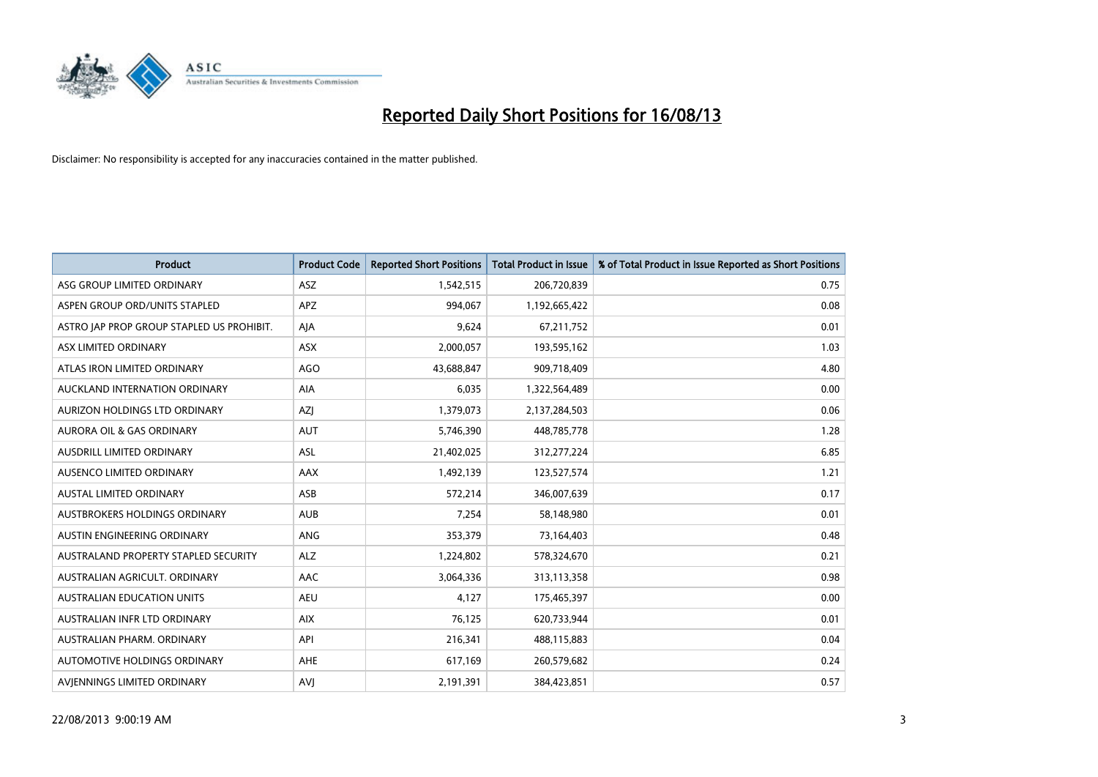

| <b>Product</b>                            | <b>Product Code</b> | <b>Reported Short Positions</b> | <b>Total Product in Issue</b> | % of Total Product in Issue Reported as Short Positions |
|-------------------------------------------|---------------------|---------------------------------|-------------------------------|---------------------------------------------------------|
| ASG GROUP LIMITED ORDINARY                | ASZ                 | 1,542,515                       | 206,720,839                   | 0.75                                                    |
| ASPEN GROUP ORD/UNITS STAPLED             | <b>APZ</b>          | 994,067                         | 1,192,665,422                 | 0.08                                                    |
| ASTRO JAP PROP GROUP STAPLED US PROHIBIT. | AJA                 | 9,624                           | 67,211,752                    | 0.01                                                    |
| ASX LIMITED ORDINARY                      | <b>ASX</b>          | 2,000,057                       | 193,595,162                   | 1.03                                                    |
| ATLAS IRON LIMITED ORDINARY               | <b>AGO</b>          | 43,688,847                      | 909,718,409                   | 4.80                                                    |
| AUCKLAND INTERNATION ORDINARY             | <b>AIA</b>          | 6,035                           | 1,322,564,489                 | 0.00                                                    |
| AURIZON HOLDINGS LTD ORDINARY             | AZJ                 | 1,379,073                       | 2,137,284,503                 | 0.06                                                    |
| AURORA OIL & GAS ORDINARY                 | <b>AUT</b>          | 5,746,390                       | 448,785,778                   | 1.28                                                    |
| AUSDRILL LIMITED ORDINARY                 | ASL                 | 21,402,025                      | 312,277,224                   | 6.85                                                    |
| AUSENCO LIMITED ORDINARY                  | AAX                 | 1,492,139                       | 123,527,574                   | 1.21                                                    |
| AUSTAL LIMITED ORDINARY                   | ASB                 | 572,214                         | 346,007,639                   | 0.17                                                    |
| AUSTBROKERS HOLDINGS ORDINARY             | <b>AUB</b>          | 7,254                           | 58,148,980                    | 0.01                                                    |
| AUSTIN ENGINEERING ORDINARY               | ANG                 | 353,379                         | 73,164,403                    | 0.48                                                    |
| AUSTRALAND PROPERTY STAPLED SECURITY      | <b>ALZ</b>          | 1,224,802                       | 578,324,670                   | 0.21                                                    |
| AUSTRALIAN AGRICULT. ORDINARY             | AAC                 | 3,064,336                       | 313,113,358                   | 0.98                                                    |
| <b>AUSTRALIAN EDUCATION UNITS</b>         | <b>AEU</b>          | 4,127                           | 175,465,397                   | 0.00                                                    |
| AUSTRALIAN INFR LTD ORDINARY              | <b>AIX</b>          | 76,125                          | 620,733,944                   | 0.01                                                    |
| AUSTRALIAN PHARM, ORDINARY                | API                 | 216,341                         | 488,115,883                   | 0.04                                                    |
| <b>AUTOMOTIVE HOLDINGS ORDINARY</b>       | <b>AHE</b>          | 617,169                         | 260,579,682                   | 0.24                                                    |
| AVJENNINGS LIMITED ORDINARY               | <b>AVJ</b>          | 2,191,391                       | 384,423,851                   | 0.57                                                    |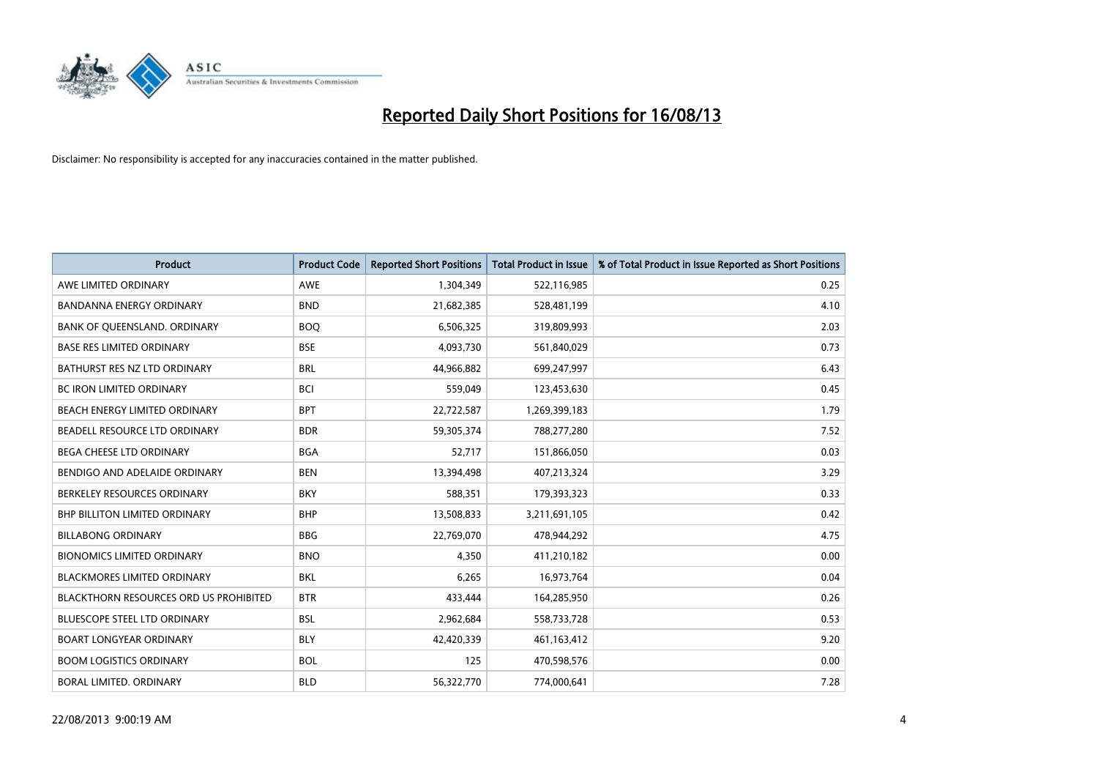

| <b>Product</b>                         | <b>Product Code</b> | <b>Reported Short Positions</b> | <b>Total Product in Issue</b> | % of Total Product in Issue Reported as Short Positions |
|----------------------------------------|---------------------|---------------------------------|-------------------------------|---------------------------------------------------------|
| AWE LIMITED ORDINARY                   | <b>AWE</b>          | 1,304,349                       | 522,116,985                   | 0.25                                                    |
| BANDANNA ENERGY ORDINARY               | <b>BND</b>          | 21,682,385                      | 528,481,199                   | 4.10                                                    |
| BANK OF QUEENSLAND. ORDINARY           | <b>BOQ</b>          | 6,506,325                       | 319,809,993                   | 2.03                                                    |
| <b>BASE RES LIMITED ORDINARY</b>       | <b>BSE</b>          | 4,093,730                       | 561,840,029                   | 0.73                                                    |
| BATHURST RES NZ LTD ORDINARY           | <b>BRL</b>          | 44,966,882                      | 699,247,997                   | 6.43                                                    |
| <b>BC IRON LIMITED ORDINARY</b>        | <b>BCI</b>          | 559,049                         | 123,453,630                   | 0.45                                                    |
| BEACH ENERGY LIMITED ORDINARY          | <b>BPT</b>          | 22,722,587                      | 1,269,399,183                 | 1.79                                                    |
| BEADELL RESOURCE LTD ORDINARY          | <b>BDR</b>          | 59,305,374                      | 788,277,280                   | 7.52                                                    |
| <b>BEGA CHEESE LTD ORDINARY</b>        | <b>BGA</b>          | 52,717                          | 151,866,050                   | 0.03                                                    |
| BENDIGO AND ADELAIDE ORDINARY          | <b>BEN</b>          | 13,394,498                      | 407,213,324                   | 3.29                                                    |
| BERKELEY RESOURCES ORDINARY            | <b>BKY</b>          | 588,351                         | 179,393,323                   | 0.33                                                    |
| <b>BHP BILLITON LIMITED ORDINARY</b>   | <b>BHP</b>          | 13,508,833                      | 3,211,691,105                 | 0.42                                                    |
| <b>BILLABONG ORDINARY</b>              | <b>BBG</b>          | 22,769,070                      | 478,944,292                   | 4.75                                                    |
| <b>BIONOMICS LIMITED ORDINARY</b>      | <b>BNO</b>          | 4,350                           | 411,210,182                   | 0.00                                                    |
| <b>BLACKMORES LIMITED ORDINARY</b>     | <b>BKL</b>          | 6,265                           | 16,973,764                    | 0.04                                                    |
| BLACKTHORN RESOURCES ORD US PROHIBITED | <b>BTR</b>          | 433,444                         | 164,285,950                   | 0.26                                                    |
| BLUESCOPE STEEL LTD ORDINARY           | <b>BSL</b>          | 2,962,684                       | 558,733,728                   | 0.53                                                    |
| <b>BOART LONGYEAR ORDINARY</b>         | <b>BLY</b>          | 42,420,339                      | 461,163,412                   | 9.20                                                    |
| <b>BOOM LOGISTICS ORDINARY</b>         | <b>BOL</b>          | 125                             | 470,598,576                   | 0.00                                                    |
| BORAL LIMITED. ORDINARY                | <b>BLD</b>          | 56,322,770                      | 774,000,641                   | 7.28                                                    |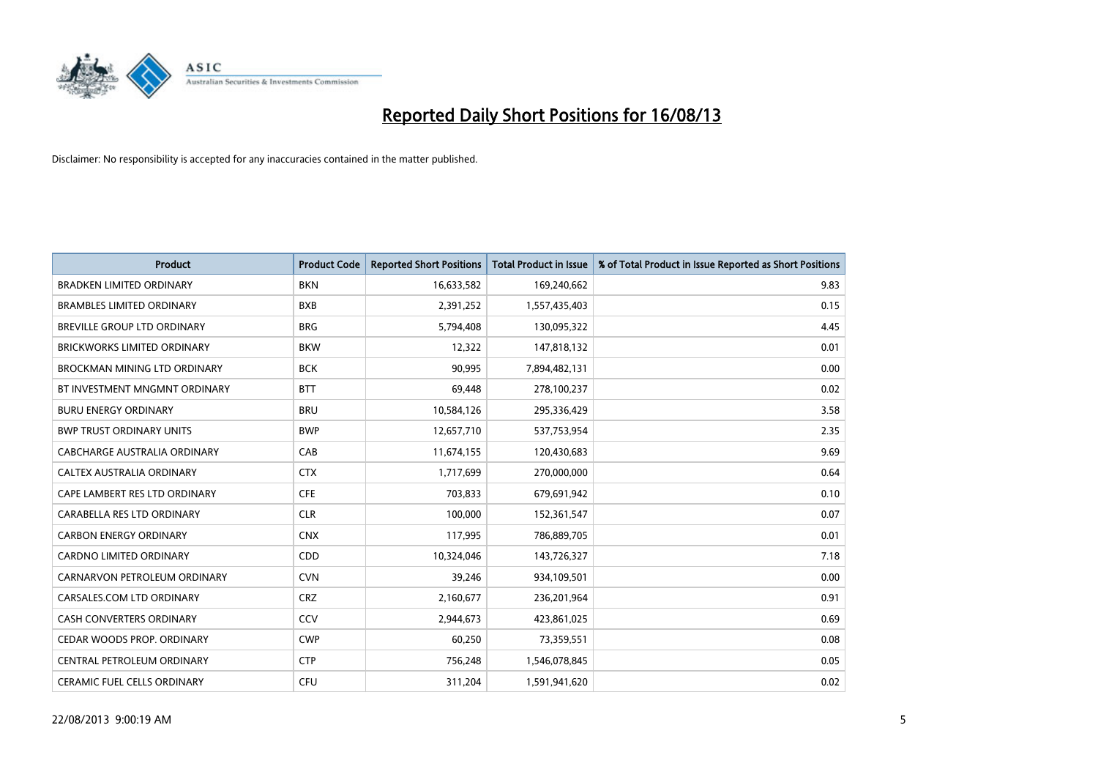

| <b>Product</b>                      | <b>Product Code</b> | <b>Reported Short Positions</b> | <b>Total Product in Issue</b> | % of Total Product in Issue Reported as Short Positions |
|-------------------------------------|---------------------|---------------------------------|-------------------------------|---------------------------------------------------------|
| <b>BRADKEN LIMITED ORDINARY</b>     | <b>BKN</b>          | 16,633,582                      | 169,240,662                   | 9.83                                                    |
| <b>BRAMBLES LIMITED ORDINARY</b>    | <b>BXB</b>          | 2,391,252                       | 1,557,435,403                 | 0.15                                                    |
| <b>BREVILLE GROUP LTD ORDINARY</b>  | <b>BRG</b>          | 5,794,408                       | 130,095,322                   | 4.45                                                    |
| BRICKWORKS LIMITED ORDINARY         | <b>BKW</b>          | 12,322                          | 147,818,132                   | 0.01                                                    |
| <b>BROCKMAN MINING LTD ORDINARY</b> | <b>BCK</b>          | 90,995                          | 7,894,482,131                 | 0.00                                                    |
| BT INVESTMENT MNGMNT ORDINARY       | <b>BTT</b>          | 69,448                          | 278,100,237                   | 0.02                                                    |
| <b>BURU ENERGY ORDINARY</b>         | <b>BRU</b>          | 10,584,126                      | 295,336,429                   | 3.58                                                    |
| <b>BWP TRUST ORDINARY UNITS</b>     | <b>BWP</b>          | 12,657,710                      | 537,753,954                   | 2.35                                                    |
| CABCHARGE AUSTRALIA ORDINARY        | CAB                 | 11,674,155                      | 120,430,683                   | 9.69                                                    |
| CALTEX AUSTRALIA ORDINARY           | <b>CTX</b>          | 1,717,699                       | 270,000,000                   | 0.64                                                    |
| CAPE LAMBERT RES LTD ORDINARY       | <b>CFE</b>          | 703,833                         | 679,691,942                   | 0.10                                                    |
| CARABELLA RES LTD ORDINARY          | <b>CLR</b>          | 100,000                         | 152,361,547                   | 0.07                                                    |
| <b>CARBON ENERGY ORDINARY</b>       | <b>CNX</b>          | 117,995                         | 786,889,705                   | 0.01                                                    |
| <b>CARDNO LIMITED ORDINARY</b>      | CDD                 | 10,324,046                      | 143,726,327                   | 7.18                                                    |
| CARNARVON PETROLEUM ORDINARY        | <b>CVN</b>          | 39,246                          | 934,109,501                   | 0.00                                                    |
| CARSALES.COM LTD ORDINARY           | <b>CRZ</b>          | 2,160,677                       | 236,201,964                   | 0.91                                                    |
| CASH CONVERTERS ORDINARY            | CCV                 | 2,944,673                       | 423,861,025                   | 0.69                                                    |
| CEDAR WOODS PROP. ORDINARY          | <b>CWP</b>          | 60,250                          | 73,359,551                    | 0.08                                                    |
| CENTRAL PETROLEUM ORDINARY          | <b>CTP</b>          | 756,248                         | 1,546,078,845                 | 0.05                                                    |
| CERAMIC FUEL CELLS ORDINARY         | <b>CFU</b>          | 311,204                         | 1,591,941,620                 | 0.02                                                    |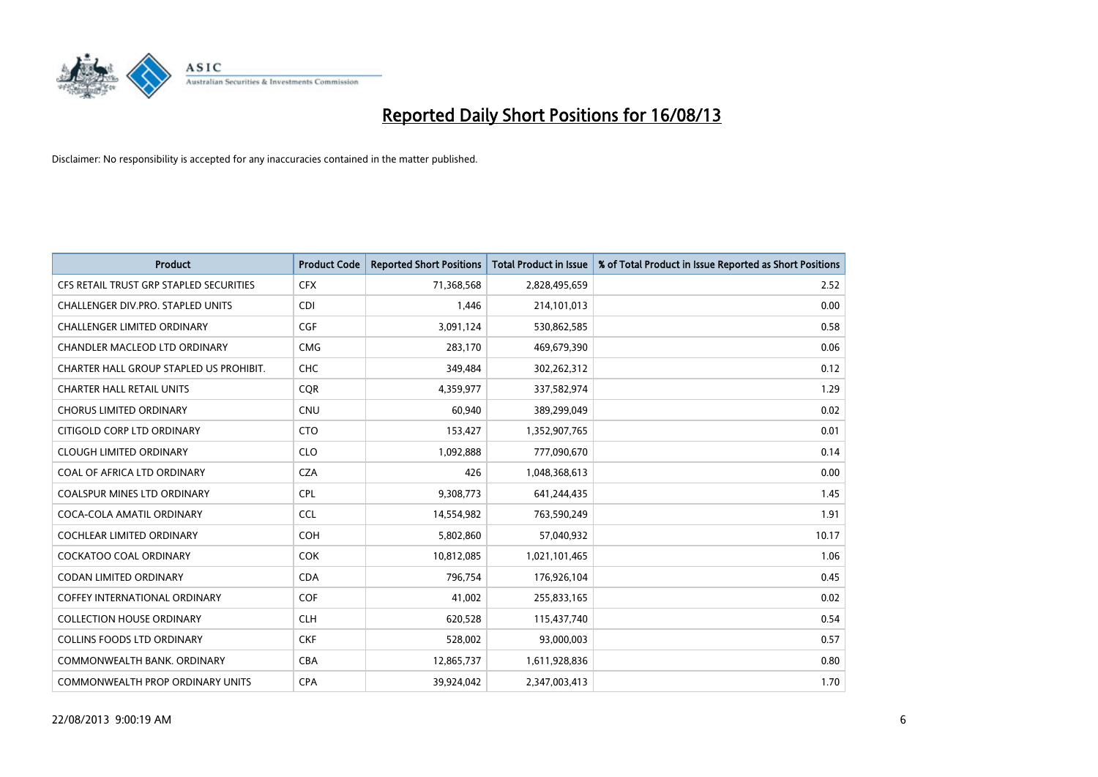

| <b>Product</b>                          | <b>Product Code</b> | <b>Reported Short Positions</b> | <b>Total Product in Issue</b> | % of Total Product in Issue Reported as Short Positions |
|-----------------------------------------|---------------------|---------------------------------|-------------------------------|---------------------------------------------------------|
| CFS RETAIL TRUST GRP STAPLED SECURITIES | <b>CFX</b>          | 71,368,568                      | 2,828,495,659                 | 2.52                                                    |
| CHALLENGER DIV.PRO. STAPLED UNITS       | <b>CDI</b>          | 1,446                           | 214,101,013                   | 0.00                                                    |
| <b>CHALLENGER LIMITED ORDINARY</b>      | <b>CGF</b>          | 3,091,124                       | 530,862,585                   | 0.58                                                    |
| CHANDLER MACLEOD LTD ORDINARY           | <b>CMG</b>          | 283,170                         | 469,679,390                   | 0.06                                                    |
| CHARTER HALL GROUP STAPLED US PROHIBIT. | CHC                 | 349,484                         | 302,262,312                   | 0.12                                                    |
| <b>CHARTER HALL RETAIL UNITS</b>        | CQR                 | 4,359,977                       | 337,582,974                   | 1.29                                                    |
| <b>CHORUS LIMITED ORDINARY</b>          | <b>CNU</b>          | 60.940                          | 389,299,049                   | 0.02                                                    |
| CITIGOLD CORP LTD ORDINARY              | <b>CTO</b>          | 153,427                         | 1,352,907,765                 | 0.01                                                    |
| <b>CLOUGH LIMITED ORDINARY</b>          | <b>CLO</b>          | 1,092,888                       | 777,090,670                   | 0.14                                                    |
| COAL OF AFRICA LTD ORDINARY             | <b>CZA</b>          | 426                             | 1,048,368,613                 | 0.00                                                    |
| <b>COALSPUR MINES LTD ORDINARY</b>      | <b>CPL</b>          | 9,308,773                       | 641,244,435                   | 1.45                                                    |
| COCA-COLA AMATIL ORDINARY               | <b>CCL</b>          | 14,554,982                      | 763,590,249                   | 1.91                                                    |
| <b>COCHLEAR LIMITED ORDINARY</b>        | <b>COH</b>          | 5,802,860                       | 57,040,932                    | 10.17                                                   |
| <b>COCKATOO COAL ORDINARY</b>           | <b>COK</b>          | 10,812,085                      | 1,021,101,465                 | 1.06                                                    |
| <b>CODAN LIMITED ORDINARY</b>           | <b>CDA</b>          | 796,754                         | 176,926,104                   | 0.45                                                    |
| <b>COFFEY INTERNATIONAL ORDINARY</b>    | COF                 | 41,002                          | 255,833,165                   | 0.02                                                    |
| <b>COLLECTION HOUSE ORDINARY</b>        | <b>CLH</b>          | 620,528                         | 115,437,740                   | 0.54                                                    |
| <b>COLLINS FOODS LTD ORDINARY</b>       | <b>CKF</b>          | 528,002                         | 93,000,003                    | 0.57                                                    |
| COMMONWEALTH BANK, ORDINARY             | <b>CBA</b>          | 12,865,737                      | 1,611,928,836                 | 0.80                                                    |
| COMMONWEALTH PROP ORDINARY UNITS        | <b>CPA</b>          | 39,924,042                      | 2,347,003,413                 | 1.70                                                    |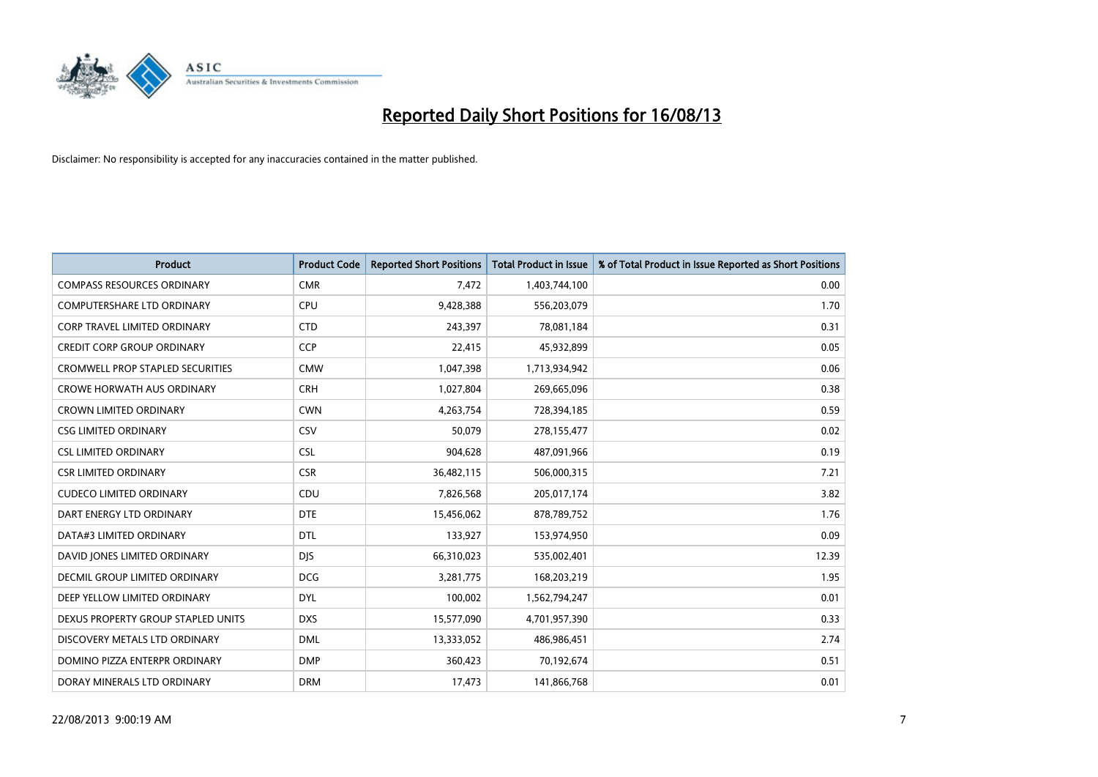

| <b>Product</b>                          | <b>Product Code</b> | <b>Reported Short Positions</b> | Total Product in Issue | % of Total Product in Issue Reported as Short Positions |
|-----------------------------------------|---------------------|---------------------------------|------------------------|---------------------------------------------------------|
| <b>COMPASS RESOURCES ORDINARY</b>       | <b>CMR</b>          | 7,472                           | 1,403,744,100          | 0.00                                                    |
| <b>COMPUTERSHARE LTD ORDINARY</b>       | <b>CPU</b>          | 9,428,388                       | 556,203,079            | 1.70                                                    |
| <b>CORP TRAVEL LIMITED ORDINARY</b>     | <b>CTD</b>          | 243,397                         | 78,081,184             | 0.31                                                    |
| <b>CREDIT CORP GROUP ORDINARY</b>       | <b>CCP</b>          | 22,415                          | 45,932,899             | 0.05                                                    |
| <b>CROMWELL PROP STAPLED SECURITIES</b> | <b>CMW</b>          | 1,047,398                       | 1,713,934,942          | 0.06                                                    |
| <b>CROWE HORWATH AUS ORDINARY</b>       | <b>CRH</b>          | 1,027,804                       | 269,665,096            | 0.38                                                    |
| <b>CROWN LIMITED ORDINARY</b>           | <b>CWN</b>          | 4,263,754                       | 728,394,185            | 0.59                                                    |
| <b>CSG LIMITED ORDINARY</b>             | CSV                 | 50,079                          | 278,155,477            | 0.02                                                    |
| <b>CSL LIMITED ORDINARY</b>             | <b>CSL</b>          | 904,628                         | 487,091,966            | 0.19                                                    |
| <b>CSR LIMITED ORDINARY</b>             | <b>CSR</b>          | 36,482,115                      | 506,000,315            | 7.21                                                    |
| <b>CUDECO LIMITED ORDINARY</b>          | CDU                 | 7,826,568                       | 205,017,174            | 3.82                                                    |
| DART ENERGY LTD ORDINARY                | <b>DTE</b>          | 15,456,062                      | 878,789,752            | 1.76                                                    |
| DATA#3 LIMITED ORDINARY                 | <b>DTL</b>          | 133,927                         | 153,974,950            | 0.09                                                    |
| DAVID JONES LIMITED ORDINARY            | <b>DJS</b>          | 66,310,023                      | 535,002,401            | 12.39                                                   |
| DECMIL GROUP LIMITED ORDINARY           | <b>DCG</b>          | 3,281,775                       | 168,203,219            | 1.95                                                    |
| DEEP YELLOW LIMITED ORDINARY            | <b>DYL</b>          | 100,002                         | 1,562,794,247          | 0.01                                                    |
| DEXUS PROPERTY GROUP STAPLED UNITS      | <b>DXS</b>          | 15,577,090                      | 4,701,957,390          | 0.33                                                    |
| DISCOVERY METALS LTD ORDINARY           | <b>DML</b>          | 13,333,052                      | 486,986,451            | 2.74                                                    |
| DOMINO PIZZA ENTERPR ORDINARY           | <b>DMP</b>          | 360,423                         | 70,192,674             | 0.51                                                    |
| DORAY MINERALS LTD ORDINARY             | <b>DRM</b>          | 17,473                          | 141,866,768            | 0.01                                                    |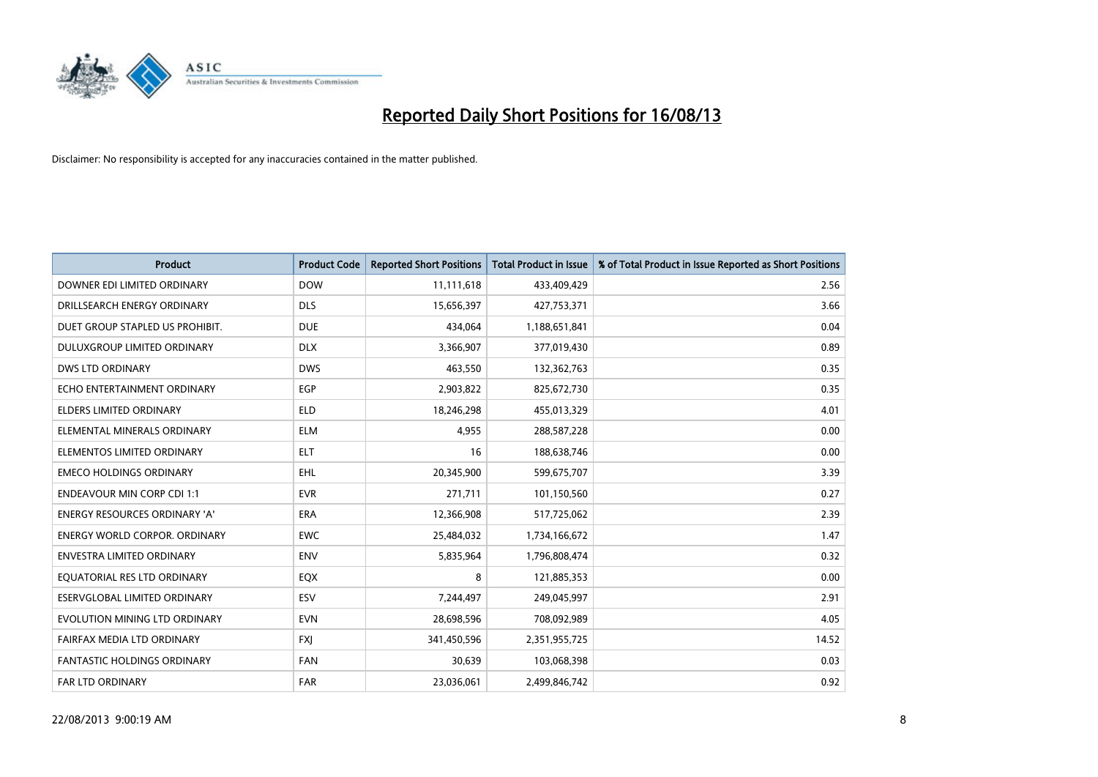

| <b>Product</b>                       | <b>Product Code</b> | <b>Reported Short Positions</b> | <b>Total Product in Issue</b> | % of Total Product in Issue Reported as Short Positions |
|--------------------------------------|---------------------|---------------------------------|-------------------------------|---------------------------------------------------------|
| DOWNER EDI LIMITED ORDINARY          | <b>DOW</b>          | 11,111,618                      | 433,409,429                   | 2.56                                                    |
| DRILLSEARCH ENERGY ORDINARY          | <b>DLS</b>          | 15,656,397                      | 427,753,371                   | 3.66                                                    |
| DUET GROUP STAPLED US PROHIBIT.      | <b>DUE</b>          | 434,064                         | 1,188,651,841                 | 0.04                                                    |
| DULUXGROUP LIMITED ORDINARY          | <b>DLX</b>          | 3,366,907                       | 377,019,430                   | 0.89                                                    |
| <b>DWS LTD ORDINARY</b>              | <b>DWS</b>          | 463,550                         | 132,362,763                   | 0.35                                                    |
| ECHO ENTERTAINMENT ORDINARY          | EGP                 | 2,903,822                       | 825,672,730                   | 0.35                                                    |
| ELDERS LIMITED ORDINARY              | <b>ELD</b>          | 18,246,298                      | 455,013,329                   | 4.01                                                    |
| ELEMENTAL MINERALS ORDINARY          | <b>ELM</b>          | 4,955                           | 288,587,228                   | 0.00                                                    |
| ELEMENTOS LIMITED ORDINARY           | <b>ELT</b>          | 16                              | 188,638,746                   | 0.00                                                    |
| <b>EMECO HOLDINGS ORDINARY</b>       | <b>EHL</b>          | 20,345,900                      | 599,675,707                   | 3.39                                                    |
| <b>ENDEAVOUR MIN CORP CDI 1:1</b>    | <b>EVR</b>          | 271,711                         | 101,150,560                   | 0.27                                                    |
| ENERGY RESOURCES ORDINARY 'A'        | ERA                 | 12,366,908                      | 517,725,062                   | 2.39                                                    |
| <b>ENERGY WORLD CORPOR, ORDINARY</b> | <b>EWC</b>          | 25,484,032                      | 1,734,166,672                 | 1.47                                                    |
| <b>ENVESTRA LIMITED ORDINARY</b>     | <b>ENV</b>          | 5,835,964                       | 1,796,808,474                 | 0.32                                                    |
| EQUATORIAL RES LTD ORDINARY          | EQX                 | 8                               | 121,885,353                   | 0.00                                                    |
| ESERVGLOBAL LIMITED ORDINARY         | ESV                 | 7,244,497                       | 249,045,997                   | 2.91                                                    |
| EVOLUTION MINING LTD ORDINARY        | <b>EVN</b>          | 28,698,596                      | 708,092,989                   | 4.05                                                    |
| FAIRFAX MEDIA LTD ORDINARY           | <b>FXI</b>          | 341,450,596                     | 2,351,955,725                 | 14.52                                                   |
| <b>FANTASTIC HOLDINGS ORDINARY</b>   | <b>FAN</b>          | 30,639                          | 103,068,398                   | 0.03                                                    |
| <b>FAR LTD ORDINARY</b>              | <b>FAR</b>          | 23,036,061                      | 2,499,846,742                 | 0.92                                                    |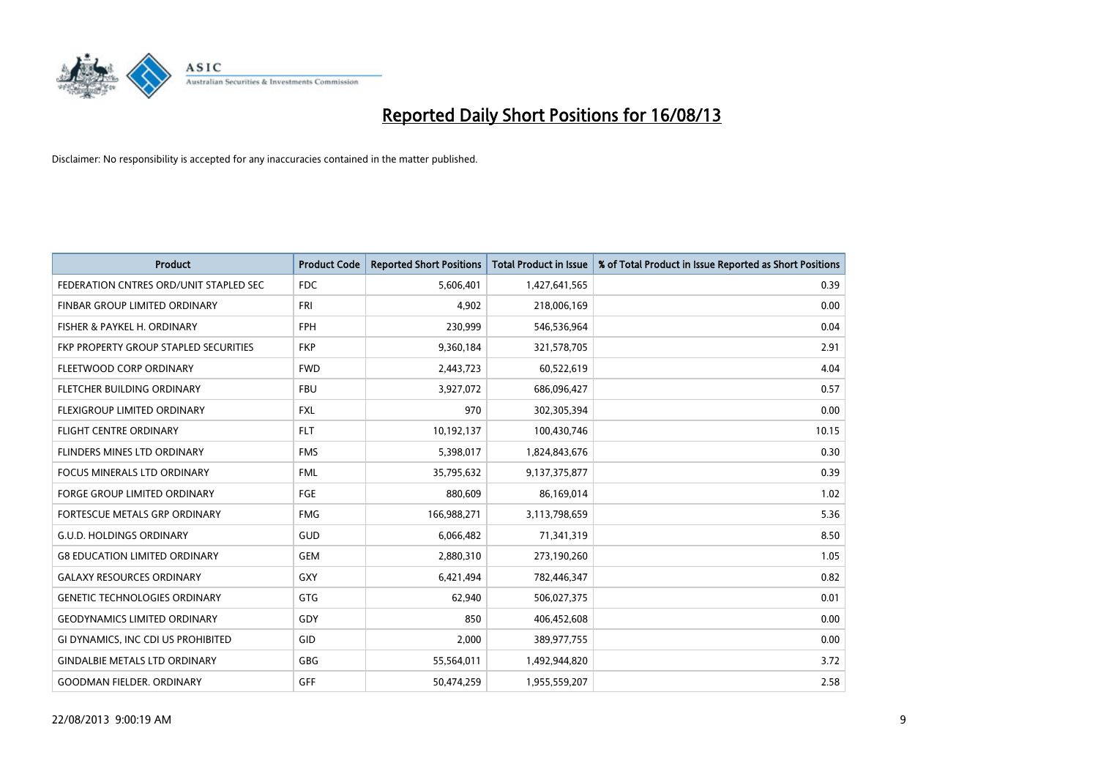

| <b>Product</b>                         | <b>Product Code</b> | <b>Reported Short Positions</b> | <b>Total Product in Issue</b> | % of Total Product in Issue Reported as Short Positions |
|----------------------------------------|---------------------|---------------------------------|-------------------------------|---------------------------------------------------------|
| FEDERATION CNTRES ORD/UNIT STAPLED SEC | <b>FDC</b>          | 5,606,401                       | 1,427,641,565                 | 0.39                                                    |
| FINBAR GROUP LIMITED ORDINARY          | <b>FRI</b>          | 4,902                           | 218,006,169                   | 0.00                                                    |
| FISHER & PAYKEL H. ORDINARY            | <b>FPH</b>          | 230,999                         | 546,536,964                   | 0.04                                                    |
| FKP PROPERTY GROUP STAPLED SECURITIES  | <b>FKP</b>          | 9,360,184                       | 321,578,705                   | 2.91                                                    |
| FLEETWOOD CORP ORDINARY                | <b>FWD</b>          | 2,443,723                       | 60,522,619                    | 4.04                                                    |
| FLETCHER BUILDING ORDINARY             | <b>FBU</b>          | 3,927,072                       | 686,096,427                   | 0.57                                                    |
| FLEXIGROUP LIMITED ORDINARY            | <b>FXL</b>          | 970                             | 302,305,394                   | 0.00                                                    |
| <b>FLIGHT CENTRE ORDINARY</b>          | <b>FLT</b>          | 10,192,137                      | 100,430,746                   | 10.15                                                   |
| FLINDERS MINES LTD ORDINARY            | <b>FMS</b>          | 5,398,017                       | 1,824,843,676                 | 0.30                                                    |
| <b>FOCUS MINERALS LTD ORDINARY</b>     | <b>FML</b>          | 35,795,632                      | 9,137,375,877                 | 0.39                                                    |
| FORGE GROUP LIMITED ORDINARY           | FGE                 | 880,609                         | 86,169,014                    | 1.02                                                    |
| <b>FORTESCUE METALS GRP ORDINARY</b>   | <b>FMG</b>          | 166,988,271                     | 3,113,798,659                 | 5.36                                                    |
| <b>G.U.D. HOLDINGS ORDINARY</b>        | GUD                 | 6,066,482                       | 71,341,319                    | 8.50                                                    |
| <b>G8 EDUCATION LIMITED ORDINARY</b>   | <b>GEM</b>          | 2,880,310                       | 273,190,260                   | 1.05                                                    |
| <b>GALAXY RESOURCES ORDINARY</b>       | GXY                 | 6,421,494                       | 782,446,347                   | 0.82                                                    |
| <b>GENETIC TECHNOLOGIES ORDINARY</b>   | GTG                 | 62,940                          | 506,027,375                   | 0.01                                                    |
| <b>GEODYNAMICS LIMITED ORDINARY</b>    | GDY                 | 850                             | 406,452,608                   | 0.00                                                    |
| GI DYNAMICS, INC CDI US PROHIBITED     | GID                 | 2,000                           | 389,977,755                   | 0.00                                                    |
| <b>GINDALBIE METALS LTD ORDINARY</b>   | GBG                 | 55,564,011                      | 1,492,944,820                 | 3.72                                                    |
| <b>GOODMAN FIELDER. ORDINARY</b>       | GFF                 | 50,474,259                      | 1,955,559,207                 | 2.58                                                    |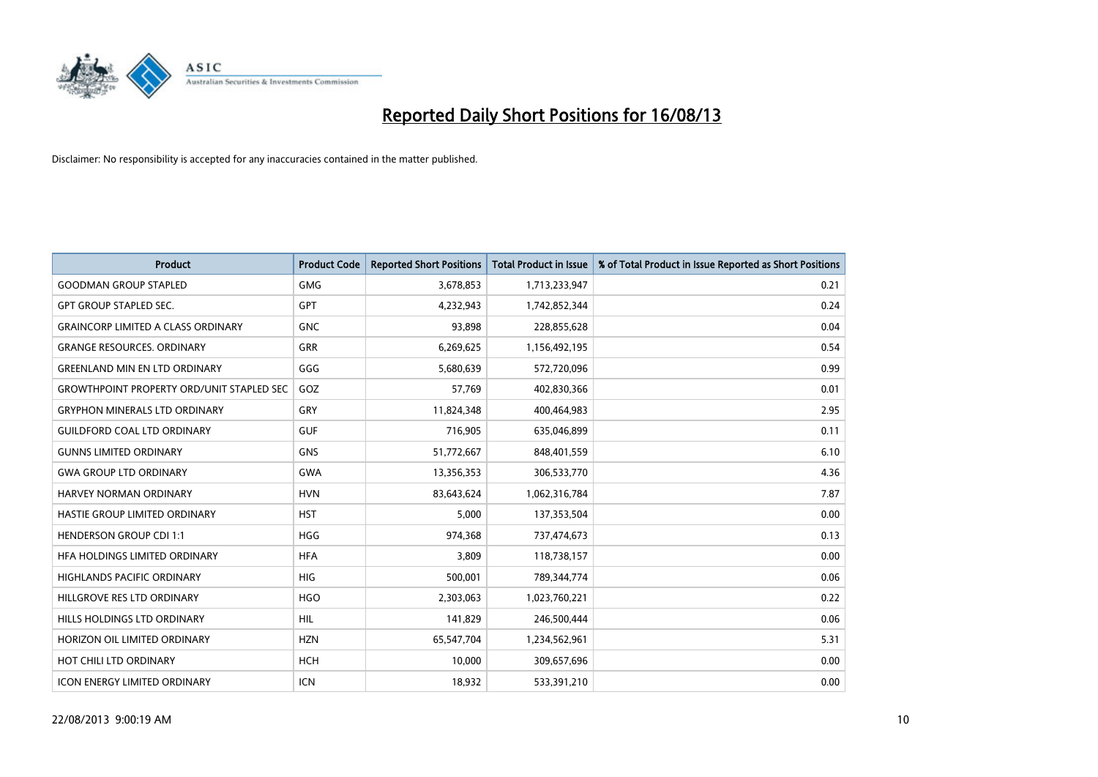

| Product                                          | <b>Product Code</b> | <b>Reported Short Positions</b> | <b>Total Product in Issue</b> | % of Total Product in Issue Reported as Short Positions |
|--------------------------------------------------|---------------------|---------------------------------|-------------------------------|---------------------------------------------------------|
| <b>GOODMAN GROUP STAPLED</b>                     | <b>GMG</b>          | 3,678,853                       | 1,713,233,947                 | 0.21                                                    |
| <b>GPT GROUP STAPLED SEC.</b>                    | <b>GPT</b>          | 4,232,943                       | 1,742,852,344                 | 0.24                                                    |
| <b>GRAINCORP LIMITED A CLASS ORDINARY</b>        | <b>GNC</b>          | 93,898                          | 228,855,628                   | 0.04                                                    |
| <b>GRANGE RESOURCES, ORDINARY</b>                | GRR                 | 6,269,625                       | 1,156,492,195                 | 0.54                                                    |
| <b>GREENLAND MIN EN LTD ORDINARY</b>             | GGG                 | 5,680,639                       | 572,720,096                   | 0.99                                                    |
| <b>GROWTHPOINT PROPERTY ORD/UNIT STAPLED SEC</b> | GOZ                 | 57,769                          | 402,830,366                   | 0.01                                                    |
| <b>GRYPHON MINERALS LTD ORDINARY</b>             | GRY                 | 11,824,348                      | 400,464,983                   | 2.95                                                    |
| <b>GUILDFORD COAL LTD ORDINARY</b>               | <b>GUF</b>          | 716,905                         | 635,046,899                   | 0.11                                                    |
| <b>GUNNS LIMITED ORDINARY</b>                    | <b>GNS</b>          | 51,772,667                      | 848,401,559                   | 6.10                                                    |
| <b>GWA GROUP LTD ORDINARY</b>                    | <b>GWA</b>          | 13,356,353                      | 306,533,770                   | 4.36                                                    |
| <b>HARVEY NORMAN ORDINARY</b>                    | <b>HVN</b>          | 83,643,624                      | 1,062,316,784                 | 7.87                                                    |
| HASTIE GROUP LIMITED ORDINARY                    | <b>HST</b>          | 5,000                           | 137,353,504                   | 0.00                                                    |
| <b>HENDERSON GROUP CDI 1:1</b>                   | <b>HGG</b>          | 974,368                         | 737,474,673                   | 0.13                                                    |
| HFA HOLDINGS LIMITED ORDINARY                    | <b>HFA</b>          | 3,809                           | 118,738,157                   | 0.00                                                    |
| <b>HIGHLANDS PACIFIC ORDINARY</b>                | <b>HIG</b>          | 500,001                         | 789,344,774                   | 0.06                                                    |
| HILLGROVE RES LTD ORDINARY                       | <b>HGO</b>          | 2,303,063                       | 1,023,760,221                 | 0.22                                                    |
| HILLS HOLDINGS LTD ORDINARY                      | <b>HIL</b>          | 141,829                         | 246,500,444                   | 0.06                                                    |
| HORIZON OIL LIMITED ORDINARY                     | <b>HZN</b>          | 65,547,704                      | 1,234,562,961                 | 5.31                                                    |
| HOT CHILI LTD ORDINARY                           | <b>HCH</b>          | 10,000                          | 309,657,696                   | 0.00                                                    |
| <b>ICON ENERGY LIMITED ORDINARY</b>              | <b>ICN</b>          | 18,932                          | 533,391,210                   | 0.00                                                    |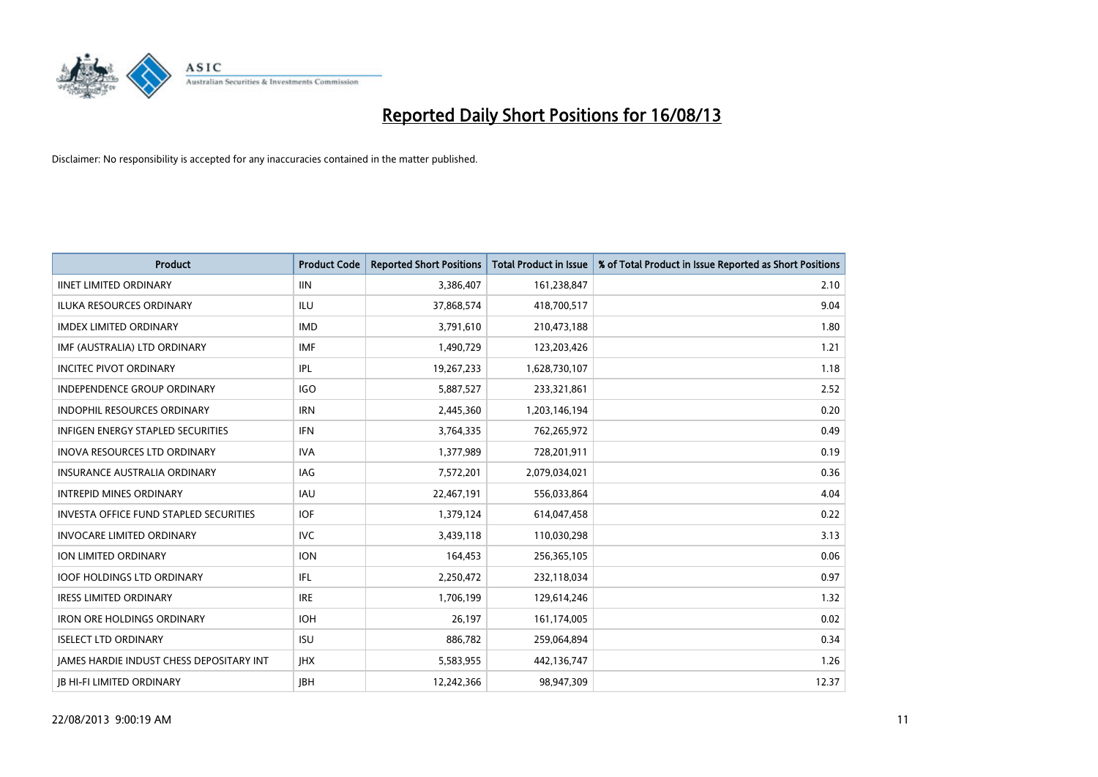

| <b>Product</b>                                  | <b>Product Code</b> | <b>Reported Short Positions</b> | <b>Total Product in Issue</b> | % of Total Product in Issue Reported as Short Positions |
|-------------------------------------------------|---------------------|---------------------------------|-------------------------------|---------------------------------------------------------|
| <b>IINET LIMITED ORDINARY</b>                   | <b>IIN</b>          | 3,386,407                       | 161,238,847                   | 2.10                                                    |
| ILUKA RESOURCES ORDINARY                        | ILU                 | 37,868,574                      | 418,700,517                   | 9.04                                                    |
| <b>IMDEX LIMITED ORDINARY</b>                   | <b>IMD</b>          | 3,791,610                       | 210,473,188                   | 1.80                                                    |
| IMF (AUSTRALIA) LTD ORDINARY                    | <b>IMF</b>          | 1,490,729                       | 123,203,426                   | 1.21                                                    |
| <b>INCITEC PIVOT ORDINARY</b>                   | IPL                 | 19,267,233                      | 1,628,730,107                 | 1.18                                                    |
| INDEPENDENCE GROUP ORDINARY                     | <b>IGO</b>          | 5,887,527                       | 233,321,861                   | 2.52                                                    |
| <b>INDOPHIL RESOURCES ORDINARY</b>              | <b>IRN</b>          | 2,445,360                       | 1,203,146,194                 | 0.20                                                    |
| <b>INFIGEN ENERGY STAPLED SECURITIES</b>        | <b>IFN</b>          | 3,764,335                       | 762,265,972                   | 0.49                                                    |
| INOVA RESOURCES LTD ORDINARY                    | <b>IVA</b>          | 1,377,989                       | 728,201,911                   | 0.19                                                    |
| INSURANCE AUSTRALIA ORDINARY                    | <b>IAG</b>          | 7,572,201                       | 2,079,034,021                 | 0.36                                                    |
| <b>INTREPID MINES ORDINARY</b>                  | <b>IAU</b>          | 22,467,191                      | 556,033,864                   | 4.04                                                    |
| <b>INVESTA OFFICE FUND STAPLED SECURITIES</b>   | <b>IOF</b>          | 1,379,124                       | 614,047,458                   | 0.22                                                    |
| <b>INVOCARE LIMITED ORDINARY</b>                | <b>IVC</b>          | 3,439,118                       | 110,030,298                   | 3.13                                                    |
| ION LIMITED ORDINARY                            | <b>ION</b>          | 164,453                         | 256,365,105                   | 0.06                                                    |
| <b>IOOF HOLDINGS LTD ORDINARY</b>               | IFL                 | 2,250,472                       | 232,118,034                   | 0.97                                                    |
| <b>IRESS LIMITED ORDINARY</b>                   | <b>IRE</b>          | 1,706,199                       | 129,614,246                   | 1.32                                                    |
| <b>IRON ORE HOLDINGS ORDINARY</b>               | <b>IOH</b>          | 26,197                          | 161,174,005                   | 0.02                                                    |
| <b>ISELECT LTD ORDINARY</b>                     | <b>ISU</b>          | 886,782                         | 259,064,894                   | 0.34                                                    |
| <b>IAMES HARDIE INDUST CHESS DEPOSITARY INT</b> | <b>IHX</b>          | 5,583,955                       | 442,136,747                   | 1.26                                                    |
| <b>IB HI-FI LIMITED ORDINARY</b>                | <b>JBH</b>          | 12,242,366                      | 98,947,309                    | 12.37                                                   |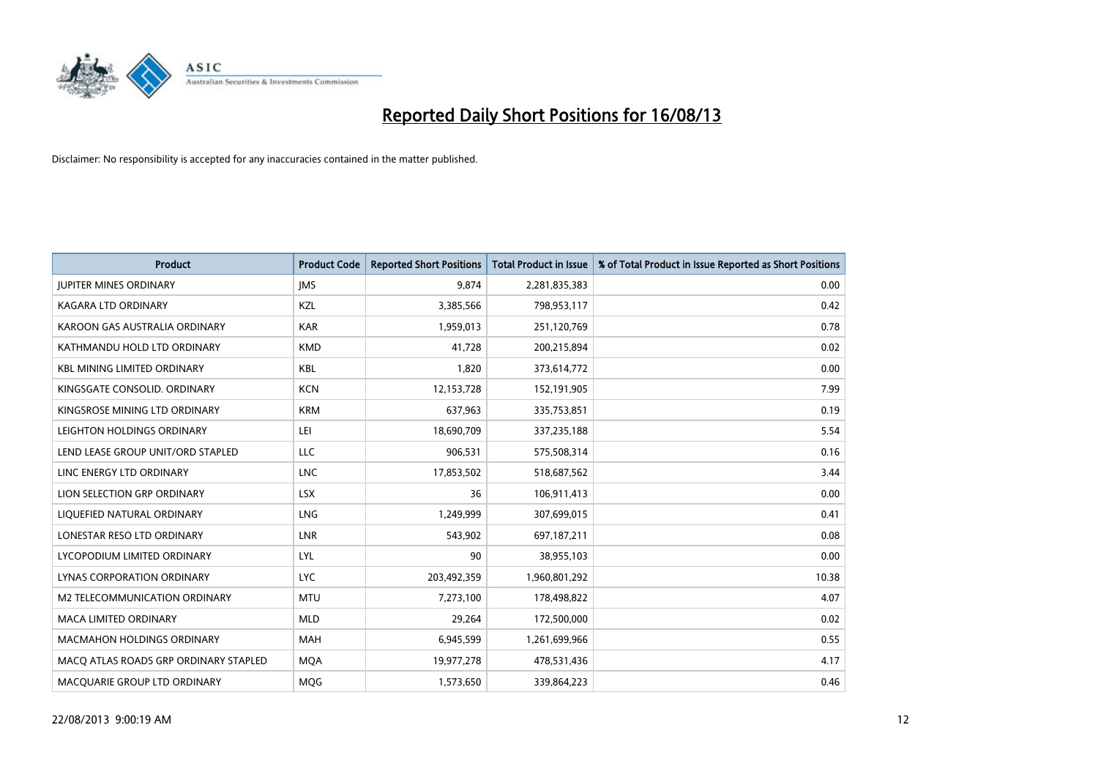

| <b>Product</b>                        | <b>Product Code</b> | <b>Reported Short Positions</b> | <b>Total Product in Issue</b> | % of Total Product in Issue Reported as Short Positions |
|---------------------------------------|---------------------|---------------------------------|-------------------------------|---------------------------------------------------------|
| <b>JUPITER MINES ORDINARY</b>         | <b>IMS</b>          | 9,874                           | 2,281,835,383                 | 0.00                                                    |
| KAGARA LTD ORDINARY                   | KZL                 | 3,385,566                       | 798,953,117                   | 0.42                                                    |
| KAROON GAS AUSTRALIA ORDINARY         | <b>KAR</b>          | 1,959,013                       | 251,120,769                   | 0.78                                                    |
| KATHMANDU HOLD LTD ORDINARY           | <b>KMD</b>          | 41,728                          | 200,215,894                   | 0.02                                                    |
| <b>KBL MINING LIMITED ORDINARY</b>    | <b>KBL</b>          | 1,820                           | 373,614,772                   | 0.00                                                    |
| KINGSGATE CONSOLID. ORDINARY          | <b>KCN</b>          | 12,153,728                      | 152,191,905                   | 7.99                                                    |
| KINGSROSE MINING LTD ORDINARY         | <b>KRM</b>          | 637,963                         | 335,753,851                   | 0.19                                                    |
| LEIGHTON HOLDINGS ORDINARY            | LEI                 | 18,690,709                      | 337,235,188                   | 5.54                                                    |
| LEND LEASE GROUP UNIT/ORD STAPLED     | <b>LLC</b>          | 906,531                         | 575,508,314                   | 0.16                                                    |
| LINC ENERGY LTD ORDINARY              | <b>LNC</b>          | 17,853,502                      | 518,687,562                   | 3.44                                                    |
| LION SELECTION GRP ORDINARY           | <b>LSX</b>          | 36                              | 106,911,413                   | 0.00                                                    |
| LIQUEFIED NATURAL ORDINARY            | <b>LNG</b>          | 1,249,999                       | 307,699,015                   | 0.41                                                    |
| LONESTAR RESO LTD ORDINARY            | <b>LNR</b>          | 543,902                         | 697,187,211                   | 0.08                                                    |
| LYCOPODIUM LIMITED ORDINARY           | LYL                 | 90                              | 38,955,103                    | 0.00                                                    |
| LYNAS CORPORATION ORDINARY            | <b>LYC</b>          | 203,492,359                     | 1,960,801,292                 | 10.38                                                   |
| M2 TELECOMMUNICATION ORDINARY         | <b>MTU</b>          | 7,273,100                       | 178,498,822                   | 4.07                                                    |
| MACA LIMITED ORDINARY                 | <b>MLD</b>          | 29,264                          | 172,500,000                   | 0.02                                                    |
| <b>MACMAHON HOLDINGS ORDINARY</b>     | <b>MAH</b>          | 6,945,599                       | 1,261,699,966                 | 0.55                                                    |
| MACO ATLAS ROADS GRP ORDINARY STAPLED | <b>MOA</b>          | 19,977,278                      | 478,531,436                   | 4.17                                                    |
| MACQUARIE GROUP LTD ORDINARY          | <b>MOG</b>          | 1,573,650                       | 339,864,223                   | 0.46                                                    |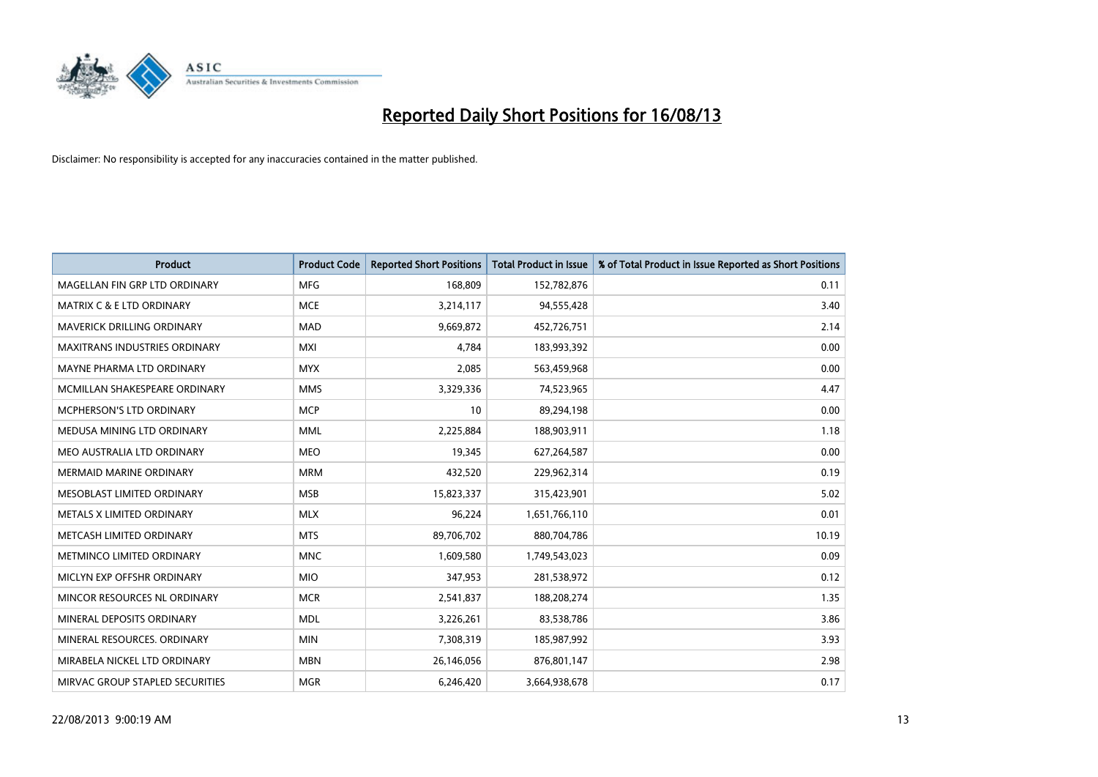

| <b>Product</b>                       | <b>Product Code</b> | <b>Reported Short Positions</b> | <b>Total Product in Issue</b> | % of Total Product in Issue Reported as Short Positions |
|--------------------------------------|---------------------|---------------------------------|-------------------------------|---------------------------------------------------------|
| MAGELLAN FIN GRP LTD ORDINARY        | <b>MFG</b>          | 168,809                         | 152,782,876                   | 0.11                                                    |
| <b>MATRIX C &amp; E LTD ORDINARY</b> | <b>MCE</b>          | 3,214,117                       | 94,555,428                    | 3.40                                                    |
| <b>MAVERICK DRILLING ORDINARY</b>    | <b>MAD</b>          | 9,669,872                       | 452,726,751                   | 2.14                                                    |
| <b>MAXITRANS INDUSTRIES ORDINARY</b> | <b>MXI</b>          | 4,784                           | 183,993,392                   | 0.00                                                    |
| MAYNE PHARMA LTD ORDINARY            | <b>MYX</b>          | 2,085                           | 563,459,968                   | 0.00                                                    |
| MCMILLAN SHAKESPEARE ORDINARY        | <b>MMS</b>          | 3,329,336                       | 74,523,965                    | 4.47                                                    |
| <b>MCPHERSON'S LTD ORDINARY</b>      | <b>MCP</b>          | 10                              | 89,294,198                    | 0.00                                                    |
| MEDUSA MINING LTD ORDINARY           | <b>MML</b>          | 2,225,884                       | 188,903,911                   | 1.18                                                    |
| MEO AUSTRALIA LTD ORDINARY           | <b>MEO</b>          | 19,345                          | 627,264,587                   | 0.00                                                    |
| <b>MERMAID MARINE ORDINARY</b>       | <b>MRM</b>          | 432,520                         | 229,962,314                   | 0.19                                                    |
| MESOBLAST LIMITED ORDINARY           | <b>MSB</b>          | 15,823,337                      | 315,423,901                   | 5.02                                                    |
| METALS X LIMITED ORDINARY            | <b>MLX</b>          | 96,224                          | 1,651,766,110                 | 0.01                                                    |
| METCASH LIMITED ORDINARY             | <b>MTS</b>          | 89,706,702                      | 880,704,786                   | 10.19                                                   |
| METMINCO LIMITED ORDINARY            | <b>MNC</b>          | 1,609,580                       | 1,749,543,023                 | 0.09                                                    |
| MICLYN EXP OFFSHR ORDINARY           | <b>MIO</b>          | 347,953                         | 281,538,972                   | 0.12                                                    |
| MINCOR RESOURCES NL ORDINARY         | <b>MCR</b>          | 2,541,837                       | 188,208,274                   | 1.35                                                    |
| MINERAL DEPOSITS ORDINARY            | <b>MDL</b>          | 3,226,261                       | 83,538,786                    | 3.86                                                    |
| MINERAL RESOURCES. ORDINARY          | <b>MIN</b>          | 7,308,319                       | 185,987,992                   | 3.93                                                    |
| MIRABELA NICKEL LTD ORDINARY         | <b>MBN</b>          | 26,146,056                      | 876,801,147                   | 2.98                                                    |
| MIRVAC GROUP STAPLED SECURITIES      | <b>MGR</b>          | 6,246,420                       | 3,664,938,678                 | 0.17                                                    |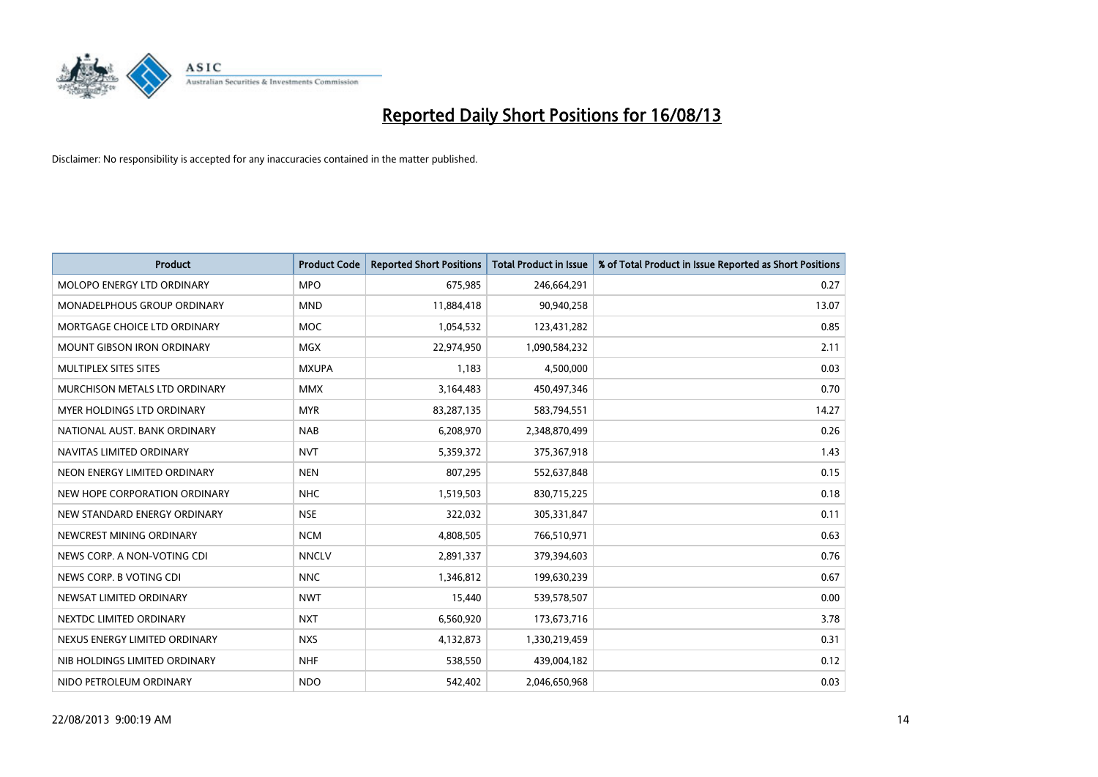

| <b>Product</b>                    | <b>Product Code</b> | <b>Reported Short Positions</b> | <b>Total Product in Issue</b> | % of Total Product in Issue Reported as Short Positions |
|-----------------------------------|---------------------|---------------------------------|-------------------------------|---------------------------------------------------------|
| MOLOPO ENERGY LTD ORDINARY        | <b>MPO</b>          | 675,985                         | 246,664,291                   | 0.27                                                    |
| MONADELPHOUS GROUP ORDINARY       | <b>MND</b>          | 11,884,418                      | 90,940,258                    | 13.07                                                   |
| MORTGAGE CHOICE LTD ORDINARY      | <b>MOC</b>          | 1,054,532                       | 123,431,282                   | 0.85                                                    |
| <b>MOUNT GIBSON IRON ORDINARY</b> | <b>MGX</b>          | 22,974,950                      | 1,090,584,232                 | 2.11                                                    |
| MULTIPLEX SITES SITES             | <b>MXUPA</b>        | 1,183                           | 4,500,000                     | 0.03                                                    |
| MURCHISON METALS LTD ORDINARY     | <b>MMX</b>          | 3,164,483                       | 450,497,346                   | 0.70                                                    |
| MYER HOLDINGS LTD ORDINARY        | <b>MYR</b>          | 83,287,135                      | 583,794,551                   | 14.27                                                   |
| NATIONAL AUST, BANK ORDINARY      | <b>NAB</b>          | 6,208,970                       | 2,348,870,499                 | 0.26                                                    |
| NAVITAS LIMITED ORDINARY          | <b>NVT</b>          | 5,359,372                       | 375,367,918                   | 1.43                                                    |
| NEON ENERGY LIMITED ORDINARY      | <b>NEN</b>          | 807,295                         | 552,637,848                   | 0.15                                                    |
| NEW HOPE CORPORATION ORDINARY     | <b>NHC</b>          | 1,519,503                       | 830,715,225                   | 0.18                                                    |
| NEW STANDARD ENERGY ORDINARY      | <b>NSE</b>          | 322,032                         | 305,331,847                   | 0.11                                                    |
| NEWCREST MINING ORDINARY          | <b>NCM</b>          | 4,808,505                       | 766,510,971                   | 0.63                                                    |
| NEWS CORP. A NON-VOTING CDI       | <b>NNCLV</b>        | 2,891,337                       | 379,394,603                   | 0.76                                                    |
| NEWS CORP. B VOTING CDI           | <b>NNC</b>          | 1,346,812                       | 199,630,239                   | 0.67                                                    |
| NEWSAT LIMITED ORDINARY           | <b>NWT</b>          | 15,440                          | 539,578,507                   | 0.00                                                    |
| NEXTDC LIMITED ORDINARY           | <b>NXT</b>          | 6,560,920                       | 173,673,716                   | 3.78                                                    |
| NEXUS ENERGY LIMITED ORDINARY     | <b>NXS</b>          | 4,132,873                       | 1,330,219,459                 | 0.31                                                    |
| NIB HOLDINGS LIMITED ORDINARY     | <b>NHF</b>          | 538,550                         | 439,004,182                   | 0.12                                                    |
| NIDO PETROLEUM ORDINARY           | <b>NDO</b>          | 542,402                         | 2,046,650,968                 | 0.03                                                    |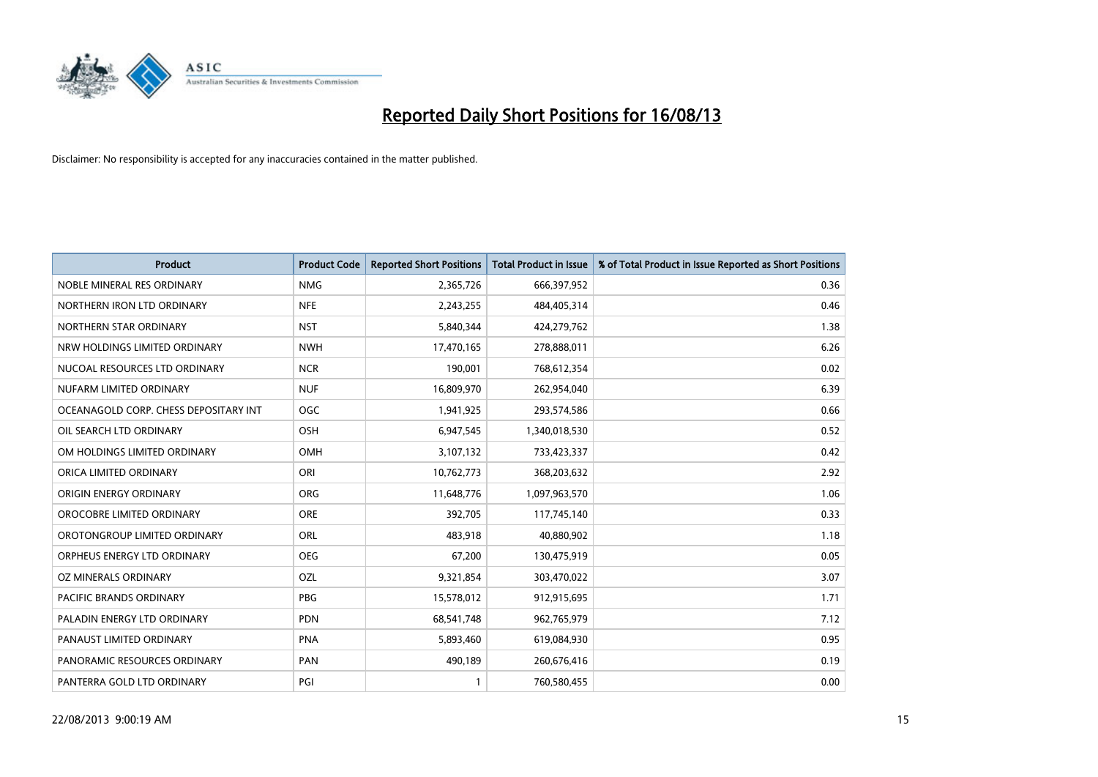

| <b>Product</b>                        | <b>Product Code</b> | <b>Reported Short Positions</b> | <b>Total Product in Issue</b> | % of Total Product in Issue Reported as Short Positions |
|---------------------------------------|---------------------|---------------------------------|-------------------------------|---------------------------------------------------------|
| NOBLE MINERAL RES ORDINARY            | <b>NMG</b>          | 2,365,726                       | 666,397,952                   | 0.36                                                    |
| NORTHERN IRON LTD ORDINARY            | <b>NFE</b>          | 2,243,255                       | 484,405,314                   | 0.46                                                    |
| NORTHERN STAR ORDINARY                | <b>NST</b>          | 5,840,344                       | 424,279,762                   | 1.38                                                    |
| NRW HOLDINGS LIMITED ORDINARY         | <b>NWH</b>          | 17,470,165                      | 278,888,011                   | 6.26                                                    |
| NUCOAL RESOURCES LTD ORDINARY         | <b>NCR</b>          | 190,001                         | 768,612,354                   | 0.02                                                    |
| NUFARM LIMITED ORDINARY               | <b>NUF</b>          | 16,809,970                      | 262,954,040                   | 6.39                                                    |
| OCEANAGOLD CORP. CHESS DEPOSITARY INT | <b>OGC</b>          | 1,941,925                       | 293,574,586                   | 0.66                                                    |
| OIL SEARCH LTD ORDINARY               | OSH                 | 6,947,545                       | 1,340,018,530                 | 0.52                                                    |
| OM HOLDINGS LIMITED ORDINARY          | OMH                 | 3,107,132                       | 733,423,337                   | 0.42                                                    |
| ORICA LIMITED ORDINARY                | ORI                 | 10,762,773                      | 368,203,632                   | 2.92                                                    |
| ORIGIN ENERGY ORDINARY                | <b>ORG</b>          | 11,648,776                      | 1,097,963,570                 | 1.06                                                    |
| OROCOBRE LIMITED ORDINARY             | <b>ORE</b>          | 392,705                         | 117,745,140                   | 0.33                                                    |
| OROTONGROUP LIMITED ORDINARY          | ORL                 | 483,918                         | 40,880,902                    | 1.18                                                    |
| ORPHEUS ENERGY LTD ORDINARY           | <b>OEG</b>          | 67,200                          | 130,475,919                   | 0.05                                                    |
| <b>OZ MINERALS ORDINARY</b>           | OZL                 | 9,321,854                       | 303,470,022                   | 3.07                                                    |
| PACIFIC BRANDS ORDINARY               | <b>PBG</b>          | 15,578,012                      | 912,915,695                   | 1.71                                                    |
| PALADIN ENERGY LTD ORDINARY           | <b>PDN</b>          | 68,541,748                      | 962,765,979                   | 7.12                                                    |
| PANAUST LIMITED ORDINARY              | <b>PNA</b>          | 5,893,460                       | 619,084,930                   | 0.95                                                    |
| PANORAMIC RESOURCES ORDINARY          | PAN                 | 490,189                         | 260,676,416                   | 0.19                                                    |
| PANTERRA GOLD LTD ORDINARY            | PGI                 |                                 | 760,580,455                   | 0.00                                                    |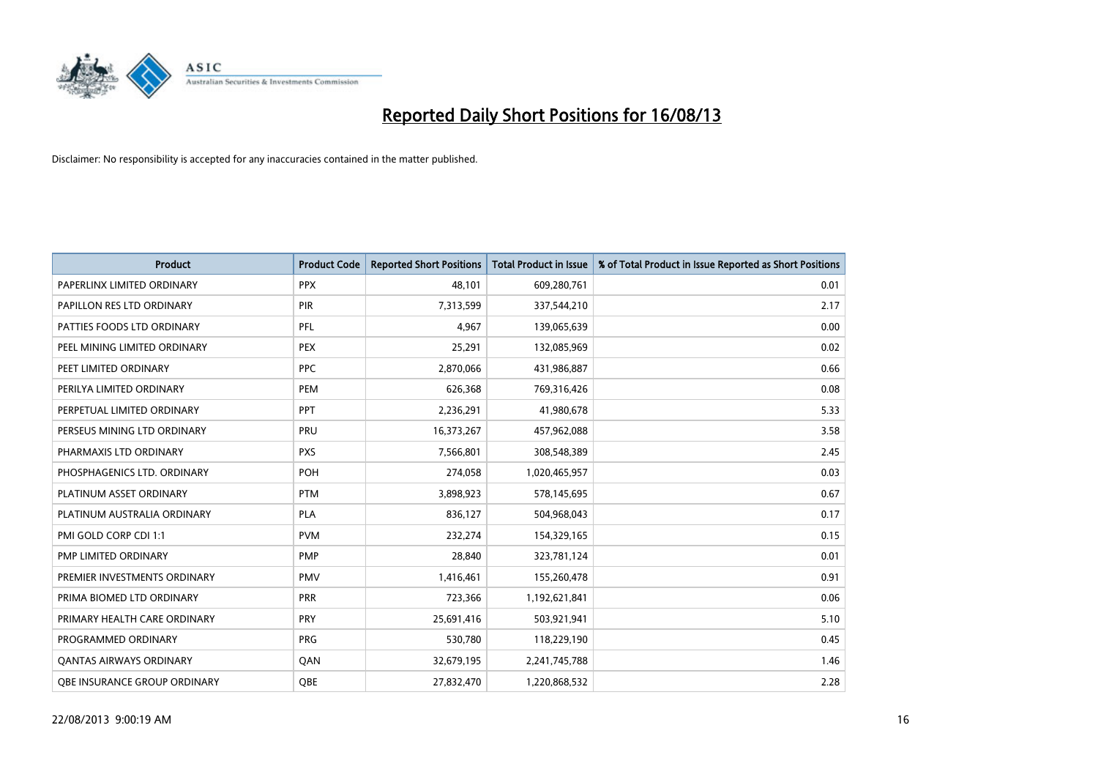

| Product                        | <b>Product Code</b> | <b>Reported Short Positions</b> | <b>Total Product in Issue</b> | % of Total Product in Issue Reported as Short Positions |
|--------------------------------|---------------------|---------------------------------|-------------------------------|---------------------------------------------------------|
| PAPERLINX LIMITED ORDINARY     | <b>PPX</b>          | 48,101                          | 609,280,761                   | 0.01                                                    |
| PAPILLON RES LTD ORDINARY      | <b>PIR</b>          | 7,313,599                       | 337,544,210                   | 2.17                                                    |
| PATTIES FOODS LTD ORDINARY     | PFL                 | 4,967                           | 139,065,639                   | 0.00                                                    |
| PEEL MINING LIMITED ORDINARY   | <b>PEX</b>          | 25,291                          | 132,085,969                   | 0.02                                                    |
| PEET LIMITED ORDINARY          | <b>PPC</b>          | 2,870,066                       | 431,986,887                   | 0.66                                                    |
| PERILYA LIMITED ORDINARY       | PEM                 | 626,368                         | 769,316,426                   | 0.08                                                    |
| PERPETUAL LIMITED ORDINARY     | <b>PPT</b>          | 2,236,291                       | 41,980,678                    | 5.33                                                    |
| PERSEUS MINING LTD ORDINARY    | <b>PRU</b>          | 16,373,267                      | 457,962,088                   | 3.58                                                    |
| PHARMAXIS LTD ORDINARY         | <b>PXS</b>          | 7,566,801                       | 308,548,389                   | 2.45                                                    |
| PHOSPHAGENICS LTD. ORDINARY    | POH                 | 274,058                         | 1,020,465,957                 | 0.03                                                    |
| PLATINUM ASSET ORDINARY        | <b>PTM</b>          | 3,898,923                       | 578,145,695                   | 0.67                                                    |
| PLATINUM AUSTRALIA ORDINARY    | <b>PLA</b>          | 836,127                         | 504,968,043                   | 0.17                                                    |
| PMI GOLD CORP CDI 1:1          | <b>PVM</b>          | 232,274                         | 154,329,165                   | 0.15                                                    |
| PMP LIMITED ORDINARY           | <b>PMP</b>          | 28,840                          | 323,781,124                   | 0.01                                                    |
| PREMIER INVESTMENTS ORDINARY   | <b>PMV</b>          | 1,416,461                       | 155,260,478                   | 0.91                                                    |
| PRIMA BIOMED LTD ORDINARY      | <b>PRR</b>          | 723,366                         | 1,192,621,841                 | 0.06                                                    |
| PRIMARY HEALTH CARE ORDINARY   | <b>PRY</b>          | 25,691,416                      | 503,921,941                   | 5.10                                                    |
| PROGRAMMED ORDINARY            | <b>PRG</b>          | 530,780                         | 118,229,190                   | 0.45                                                    |
| <b>QANTAS AIRWAYS ORDINARY</b> | QAN                 | 32,679,195                      | 2,241,745,788                 | 1.46                                                    |
| OBE INSURANCE GROUP ORDINARY   | <b>QBE</b>          | 27,832,470                      | 1,220,868,532                 | 2.28                                                    |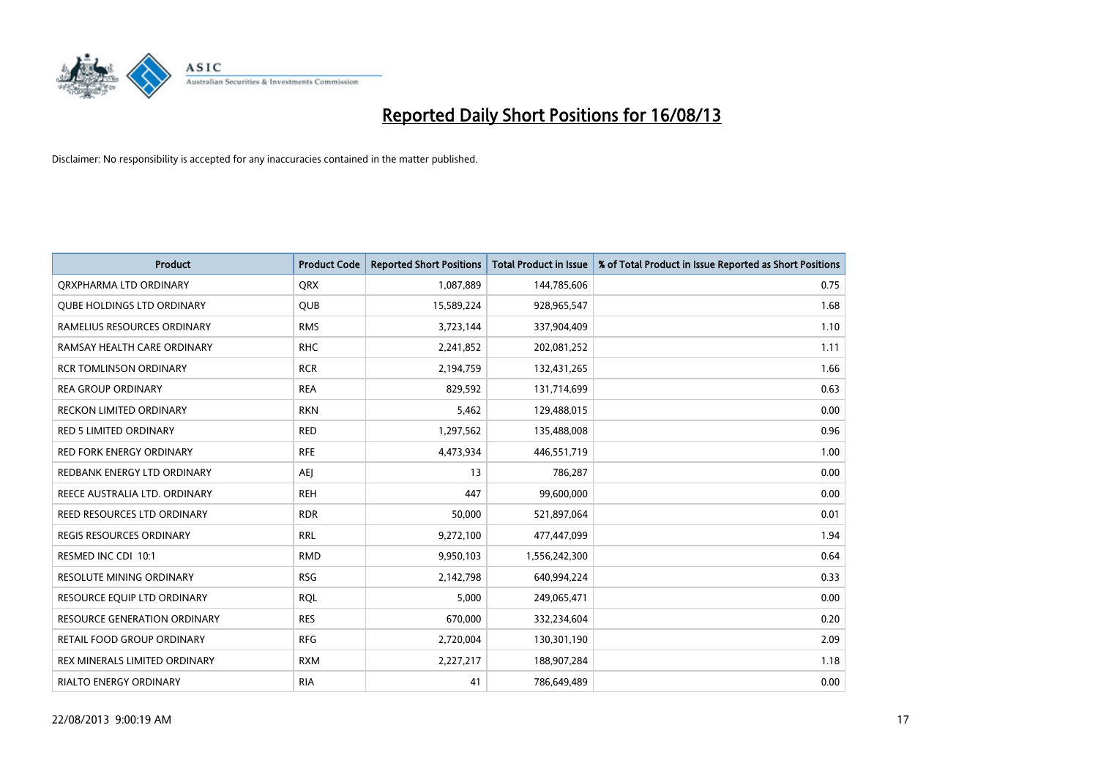

| <b>Product</b>                      | <b>Product Code</b> | <b>Reported Short Positions</b> | <b>Total Product in Issue</b> | % of Total Product in Issue Reported as Short Positions |
|-------------------------------------|---------------------|---------------------------------|-------------------------------|---------------------------------------------------------|
| ORXPHARMA LTD ORDINARY              | <b>QRX</b>          | 1,087,889                       | 144,785,606                   | 0.75                                                    |
| <b>QUBE HOLDINGS LTD ORDINARY</b>   | <b>QUB</b>          | 15,589,224                      | 928,965,547                   | 1.68                                                    |
| RAMELIUS RESOURCES ORDINARY         | <b>RMS</b>          | 3,723,144                       | 337,904,409                   | 1.10                                                    |
| RAMSAY HEALTH CARE ORDINARY         | <b>RHC</b>          | 2,241,852                       | 202,081,252                   | 1.11                                                    |
| <b>RCR TOMLINSON ORDINARY</b>       | <b>RCR</b>          | 2,194,759                       | 132,431,265                   | 1.66                                                    |
| <b>REA GROUP ORDINARY</b>           | <b>REA</b>          | 829,592                         | 131,714,699                   | 0.63                                                    |
| <b>RECKON LIMITED ORDINARY</b>      | <b>RKN</b>          | 5,462                           | 129,488,015                   | 0.00                                                    |
| RED 5 LIMITED ORDINARY              | <b>RED</b>          | 1,297,562                       | 135,488,008                   | 0.96                                                    |
| <b>RED FORK ENERGY ORDINARY</b>     | <b>RFE</b>          | 4,473,934                       | 446,551,719                   | 1.00                                                    |
| REDBANK ENERGY LTD ORDINARY         | AEJ                 | 13                              | 786,287                       | 0.00                                                    |
| REECE AUSTRALIA LTD. ORDINARY       | <b>REH</b>          | 447                             | 99,600,000                    | 0.00                                                    |
| REED RESOURCES LTD ORDINARY         | <b>RDR</b>          | 50,000                          | 521,897,064                   | 0.01                                                    |
| REGIS RESOURCES ORDINARY            | <b>RRL</b>          | 9,272,100                       | 477,447,099                   | 1.94                                                    |
| RESMED INC CDI 10:1                 | <b>RMD</b>          | 9,950,103                       | 1,556,242,300                 | 0.64                                                    |
| RESOLUTE MINING ORDINARY            | <b>RSG</b>          | 2,142,798                       | 640,994,224                   | 0.33                                                    |
| RESOURCE EQUIP LTD ORDINARY         | <b>RQL</b>          | 5,000                           | 249,065,471                   | 0.00                                                    |
| <b>RESOURCE GENERATION ORDINARY</b> | <b>RES</b>          | 670,000                         | 332,234,604                   | 0.20                                                    |
| RETAIL FOOD GROUP ORDINARY          | <b>RFG</b>          | 2,720,004                       | 130,301,190                   | 2.09                                                    |
| REX MINERALS LIMITED ORDINARY       | <b>RXM</b>          | 2,227,217                       | 188,907,284                   | 1.18                                                    |
| RIALTO ENERGY ORDINARY              | <b>RIA</b>          | 41                              | 786,649,489                   | 0.00                                                    |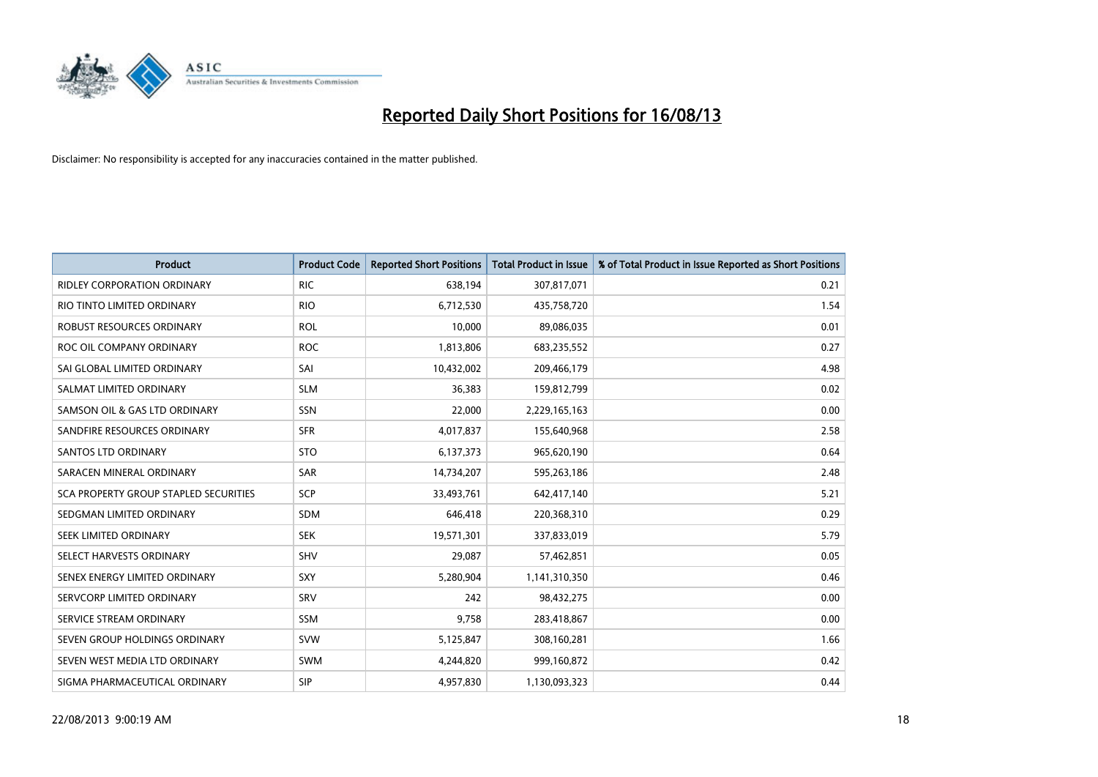

| <b>Product</b>                        | <b>Product Code</b> | <b>Reported Short Positions</b> | <b>Total Product in Issue</b> | % of Total Product in Issue Reported as Short Positions |
|---------------------------------------|---------------------|---------------------------------|-------------------------------|---------------------------------------------------------|
| <b>RIDLEY CORPORATION ORDINARY</b>    | <b>RIC</b>          | 638,194                         | 307,817,071                   | 0.21                                                    |
| RIO TINTO LIMITED ORDINARY            | <b>RIO</b>          | 6,712,530                       | 435,758,720                   | 1.54                                                    |
| ROBUST RESOURCES ORDINARY             | <b>ROL</b>          | 10,000                          | 89,086,035                    | 0.01                                                    |
| ROC OIL COMPANY ORDINARY              | <b>ROC</b>          | 1,813,806                       | 683,235,552                   | 0.27                                                    |
| SAI GLOBAL LIMITED ORDINARY           | SAI                 | 10,432,002                      | 209,466,179                   | 4.98                                                    |
| SALMAT LIMITED ORDINARY               | <b>SLM</b>          | 36,383                          | 159,812,799                   | 0.02                                                    |
| SAMSON OIL & GAS LTD ORDINARY         | SSN                 | 22,000                          | 2,229,165,163                 | 0.00                                                    |
| SANDFIRE RESOURCES ORDINARY           | <b>SFR</b>          | 4,017,837                       | 155,640,968                   | 2.58                                                    |
| SANTOS LTD ORDINARY                   | <b>STO</b>          | 6,137,373                       | 965,620,190                   | 0.64                                                    |
| SARACEN MINERAL ORDINARY              | SAR                 | 14,734,207                      | 595,263,186                   | 2.48                                                    |
| SCA PROPERTY GROUP STAPLED SECURITIES | SCP                 | 33,493,761                      | 642,417,140                   | 5.21                                                    |
| SEDGMAN LIMITED ORDINARY              | <b>SDM</b>          | 646,418                         | 220,368,310                   | 0.29                                                    |
| SEEK LIMITED ORDINARY                 | <b>SEK</b>          | 19,571,301                      | 337,833,019                   | 5.79                                                    |
| SELECT HARVESTS ORDINARY              | SHV                 | 29,087                          | 57,462,851                    | 0.05                                                    |
| SENEX ENERGY LIMITED ORDINARY         | <b>SXY</b>          | 5,280,904                       | 1,141,310,350                 | 0.46                                                    |
| SERVCORP LIMITED ORDINARY             | SRV                 | 242                             | 98,432,275                    | 0.00                                                    |
| SERVICE STREAM ORDINARY               | SSM                 | 9,758                           | 283,418,867                   | 0.00                                                    |
| SEVEN GROUP HOLDINGS ORDINARY         | <b>SVW</b>          | 5,125,847                       | 308,160,281                   | 1.66                                                    |
| SEVEN WEST MEDIA LTD ORDINARY         | <b>SWM</b>          | 4,244,820                       | 999,160,872                   | 0.42                                                    |
| SIGMA PHARMACEUTICAL ORDINARY         | <b>SIP</b>          | 4,957,830                       | 1,130,093,323                 | 0.44                                                    |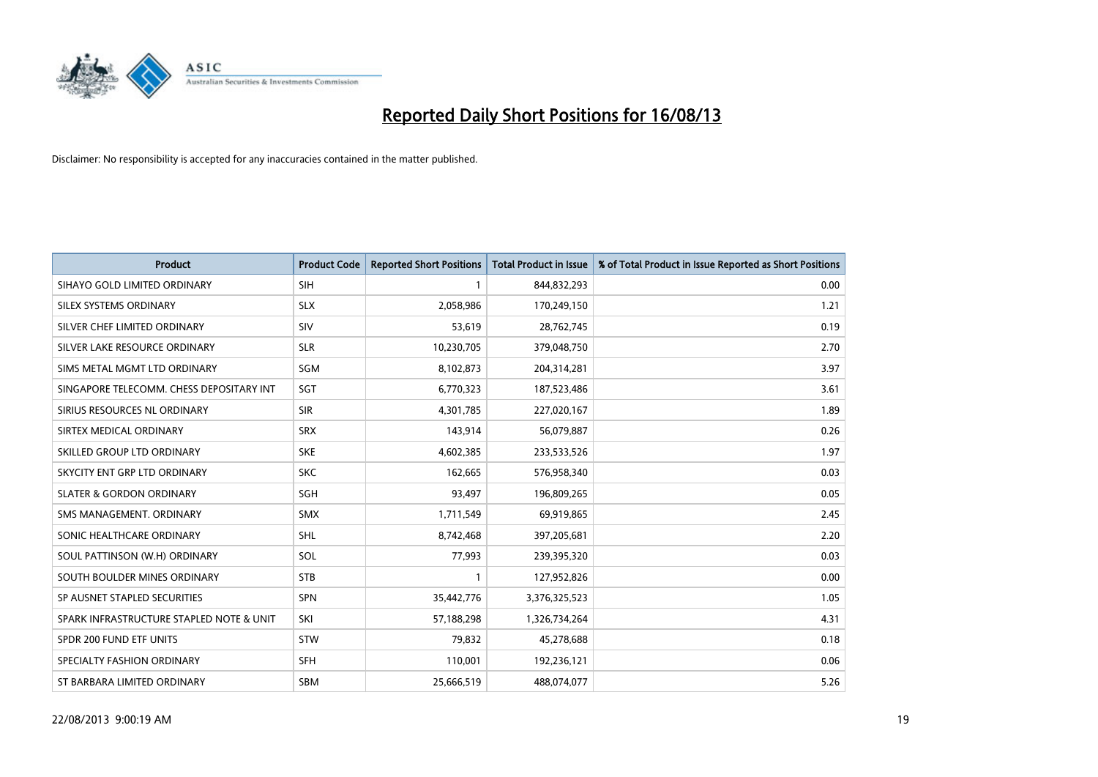

| <b>Product</b>                           | <b>Product Code</b> | <b>Reported Short Positions</b> | <b>Total Product in Issue</b> | % of Total Product in Issue Reported as Short Positions |
|------------------------------------------|---------------------|---------------------------------|-------------------------------|---------------------------------------------------------|
| SIHAYO GOLD LIMITED ORDINARY             | <b>SIH</b>          | 1                               | 844,832,293                   | 0.00                                                    |
| SILEX SYSTEMS ORDINARY                   | <b>SLX</b>          | 2,058,986                       | 170,249,150                   | 1.21                                                    |
| SILVER CHEF LIMITED ORDINARY             | SIV                 | 53,619                          | 28,762,745                    | 0.19                                                    |
| SILVER LAKE RESOURCE ORDINARY            | <b>SLR</b>          | 10,230,705                      | 379,048,750                   | 2.70                                                    |
| SIMS METAL MGMT LTD ORDINARY             | SGM                 | 8,102,873                       | 204,314,281                   | 3.97                                                    |
| SINGAPORE TELECOMM. CHESS DEPOSITARY INT | SGT                 | 6,770,323                       | 187,523,486                   | 3.61                                                    |
| SIRIUS RESOURCES NL ORDINARY             | <b>SIR</b>          | 4,301,785                       | 227,020,167                   | 1.89                                                    |
| SIRTEX MEDICAL ORDINARY                  | <b>SRX</b>          | 143,914                         | 56,079,887                    | 0.26                                                    |
| SKILLED GROUP LTD ORDINARY               | <b>SKE</b>          | 4,602,385                       | 233,533,526                   | 1.97                                                    |
| SKYCITY ENT GRP LTD ORDINARY             | <b>SKC</b>          | 162,665                         | 576,958,340                   | 0.03                                                    |
| <b>SLATER &amp; GORDON ORDINARY</b>      | SGH                 | 93,497                          | 196,809,265                   | 0.05                                                    |
| SMS MANAGEMENT, ORDINARY                 | <b>SMX</b>          | 1,711,549                       | 69,919,865                    | 2.45                                                    |
| SONIC HEALTHCARE ORDINARY                | <b>SHL</b>          | 8,742,468                       | 397,205,681                   | 2.20                                                    |
| SOUL PATTINSON (W.H) ORDINARY            | SOL                 | 77,993                          | 239,395,320                   | 0.03                                                    |
| SOUTH BOULDER MINES ORDINARY             | <b>STB</b>          | 1                               | 127,952,826                   | 0.00                                                    |
| SP AUSNET STAPLED SECURITIES             | <b>SPN</b>          | 35,442,776                      | 3,376,325,523                 | 1.05                                                    |
| SPARK INFRASTRUCTURE STAPLED NOTE & UNIT | SKI                 | 57,188,298                      | 1,326,734,264                 | 4.31                                                    |
| SPDR 200 FUND ETF UNITS                  | <b>STW</b>          | 79,832                          | 45,278,688                    | 0.18                                                    |
| SPECIALTY FASHION ORDINARY               | <b>SFH</b>          | 110,001                         | 192,236,121                   | 0.06                                                    |
| ST BARBARA LIMITED ORDINARY              | <b>SBM</b>          | 25,666,519                      | 488,074,077                   | 5.26                                                    |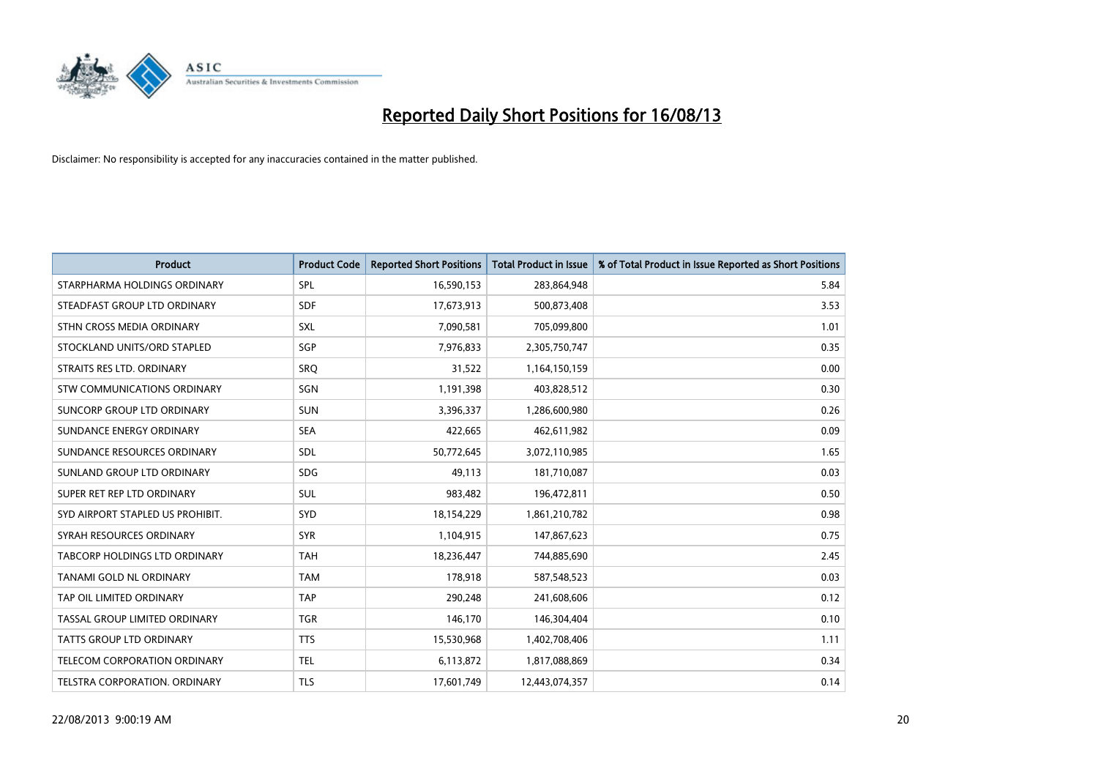

| <b>Product</b>                   | <b>Product Code</b> | <b>Reported Short Positions</b> | <b>Total Product in Issue</b> | % of Total Product in Issue Reported as Short Positions |
|----------------------------------|---------------------|---------------------------------|-------------------------------|---------------------------------------------------------|
| STARPHARMA HOLDINGS ORDINARY     | <b>SPL</b>          | 16,590,153                      | 283,864,948                   | 5.84                                                    |
| STEADFAST GROUP LTD ORDINARY     | <b>SDF</b>          | 17,673,913                      | 500,873,408                   | 3.53                                                    |
| STHN CROSS MEDIA ORDINARY        | <b>SXL</b>          | 7,090,581                       | 705,099,800                   | 1.01                                                    |
| STOCKLAND UNITS/ORD STAPLED      | SGP                 | 7,976,833                       | 2,305,750,747                 | 0.35                                                    |
| STRAITS RES LTD. ORDINARY        | SRO                 | 31,522                          | 1,164,150,159                 | 0.00                                                    |
| STW COMMUNICATIONS ORDINARY      | SGN                 | 1,191,398                       | 403,828,512                   | 0.30                                                    |
| SUNCORP GROUP LTD ORDINARY       | <b>SUN</b>          | 3,396,337                       | 1,286,600,980                 | 0.26                                                    |
| SUNDANCE ENERGY ORDINARY         | <b>SEA</b>          | 422,665                         | 462,611,982                   | 0.09                                                    |
| SUNDANCE RESOURCES ORDINARY      | <b>SDL</b>          | 50,772,645                      | 3,072,110,985                 | 1.65                                                    |
| SUNLAND GROUP LTD ORDINARY       | <b>SDG</b>          | 49,113                          | 181,710,087                   | 0.03                                                    |
| SUPER RET REP LTD ORDINARY       | SUL                 | 983,482                         | 196,472,811                   | 0.50                                                    |
| SYD AIRPORT STAPLED US PROHIBIT. | <b>SYD</b>          | 18,154,229                      | 1,861,210,782                 | 0.98                                                    |
| SYRAH RESOURCES ORDINARY         | <b>SYR</b>          | 1,104,915                       | 147,867,623                   | 0.75                                                    |
| TABCORP HOLDINGS LTD ORDINARY    | <b>TAH</b>          | 18,236,447                      | 744,885,690                   | 2.45                                                    |
| <b>TANAMI GOLD NL ORDINARY</b>   | <b>TAM</b>          | 178,918                         | 587,548,523                   | 0.03                                                    |
| TAP OIL LIMITED ORDINARY         | <b>TAP</b>          | 290,248                         | 241,608,606                   | 0.12                                                    |
| TASSAL GROUP LIMITED ORDINARY    | <b>TGR</b>          | 146,170                         | 146,304,404                   | 0.10                                                    |
| TATTS GROUP LTD ORDINARY         | <b>TTS</b>          | 15,530,968                      | 1,402,708,406                 | 1.11                                                    |
| TELECOM CORPORATION ORDINARY     | <b>TEL</b>          | 6,113,872                       | 1,817,088,869                 | 0.34                                                    |
| TELSTRA CORPORATION. ORDINARY    | <b>TLS</b>          | 17,601,749                      | 12,443,074,357                | 0.14                                                    |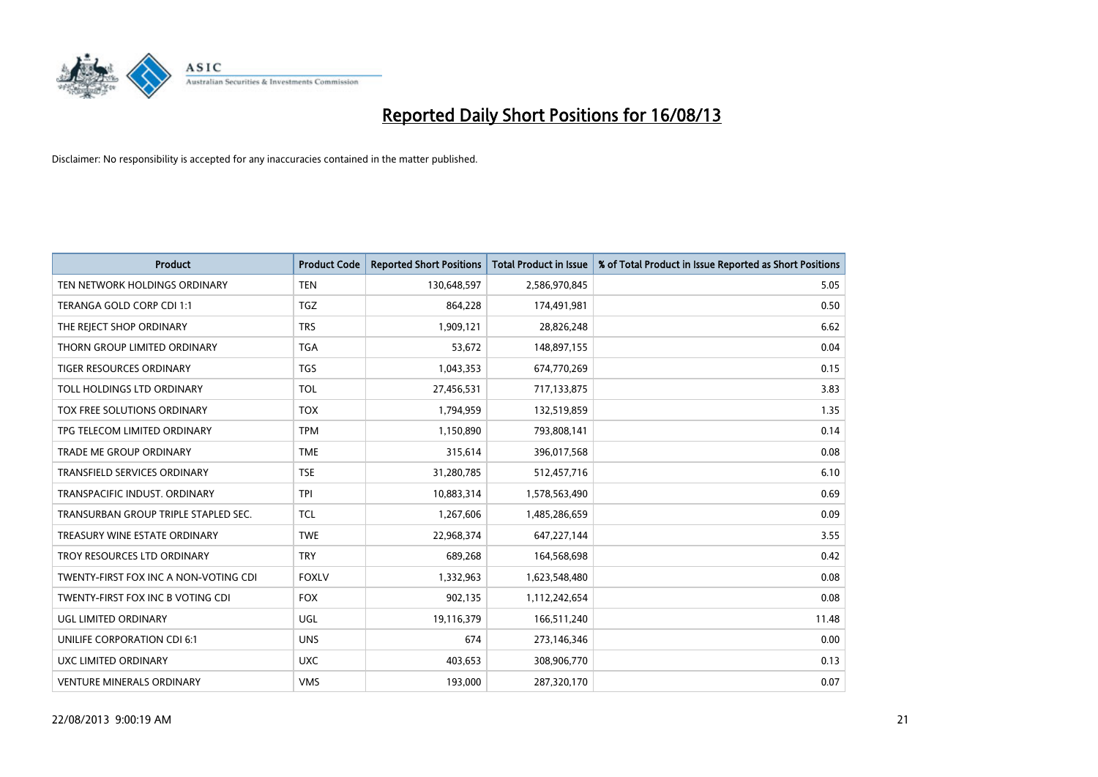

| <b>Product</b>                        | <b>Product Code</b> | <b>Reported Short Positions</b> | <b>Total Product in Issue</b> | % of Total Product in Issue Reported as Short Positions |
|---------------------------------------|---------------------|---------------------------------|-------------------------------|---------------------------------------------------------|
| TEN NETWORK HOLDINGS ORDINARY         | <b>TEN</b>          | 130,648,597                     | 2,586,970,845                 | 5.05                                                    |
| TERANGA GOLD CORP CDI 1:1             | <b>TGZ</b>          | 864,228                         | 174,491,981                   | 0.50                                                    |
| THE REJECT SHOP ORDINARY              | <b>TRS</b>          | 1,909,121                       | 28,826,248                    | 6.62                                                    |
| THORN GROUP LIMITED ORDINARY          | <b>TGA</b>          | 53,672                          | 148,897,155                   | 0.04                                                    |
| <b>TIGER RESOURCES ORDINARY</b>       | <b>TGS</b>          | 1,043,353                       | 674,770,269                   | 0.15                                                    |
| TOLL HOLDINGS LTD ORDINARY            | <b>TOL</b>          | 27,456,531                      | 717,133,875                   | 3.83                                                    |
| TOX FREE SOLUTIONS ORDINARY           | <b>TOX</b>          | 1,794,959                       | 132,519,859                   | 1.35                                                    |
| TPG TELECOM LIMITED ORDINARY          | <b>TPM</b>          | 1,150,890                       | 793,808,141                   | 0.14                                                    |
| <b>TRADE ME GROUP ORDINARY</b>        | <b>TME</b>          | 315,614                         | 396,017,568                   | 0.08                                                    |
| <b>TRANSFIELD SERVICES ORDINARY</b>   | <b>TSE</b>          | 31,280,785                      | 512,457,716                   | 6.10                                                    |
| TRANSPACIFIC INDUST. ORDINARY         | <b>TPI</b>          | 10,883,314                      | 1,578,563,490                 | 0.69                                                    |
| TRANSURBAN GROUP TRIPLE STAPLED SEC.  | <b>TCL</b>          | 1,267,606                       | 1,485,286,659                 | 0.09                                                    |
| TREASURY WINE ESTATE ORDINARY         | <b>TWE</b>          | 22,968,374                      | 647,227,144                   | 3.55                                                    |
| TROY RESOURCES LTD ORDINARY           | <b>TRY</b>          | 689,268                         | 164,568,698                   | 0.42                                                    |
| TWENTY-FIRST FOX INC A NON-VOTING CDI | <b>FOXLV</b>        | 1,332,963                       | 1,623,548,480                 | 0.08                                                    |
| TWENTY-FIRST FOX INC B VOTING CDI     | <b>FOX</b>          | 902,135                         | 1,112,242,654                 | 0.08                                                    |
| UGL LIMITED ORDINARY                  | UGL                 | 19,116,379                      | 166,511,240                   | 11.48                                                   |
| UNILIFE CORPORATION CDI 6:1           | <b>UNS</b>          | 674                             | 273,146,346                   | 0.00                                                    |
| UXC LIMITED ORDINARY                  | <b>UXC</b>          | 403,653                         | 308,906,770                   | 0.13                                                    |
| <b>VENTURE MINERALS ORDINARY</b>      | <b>VMS</b>          | 193,000                         | 287,320,170                   | 0.07                                                    |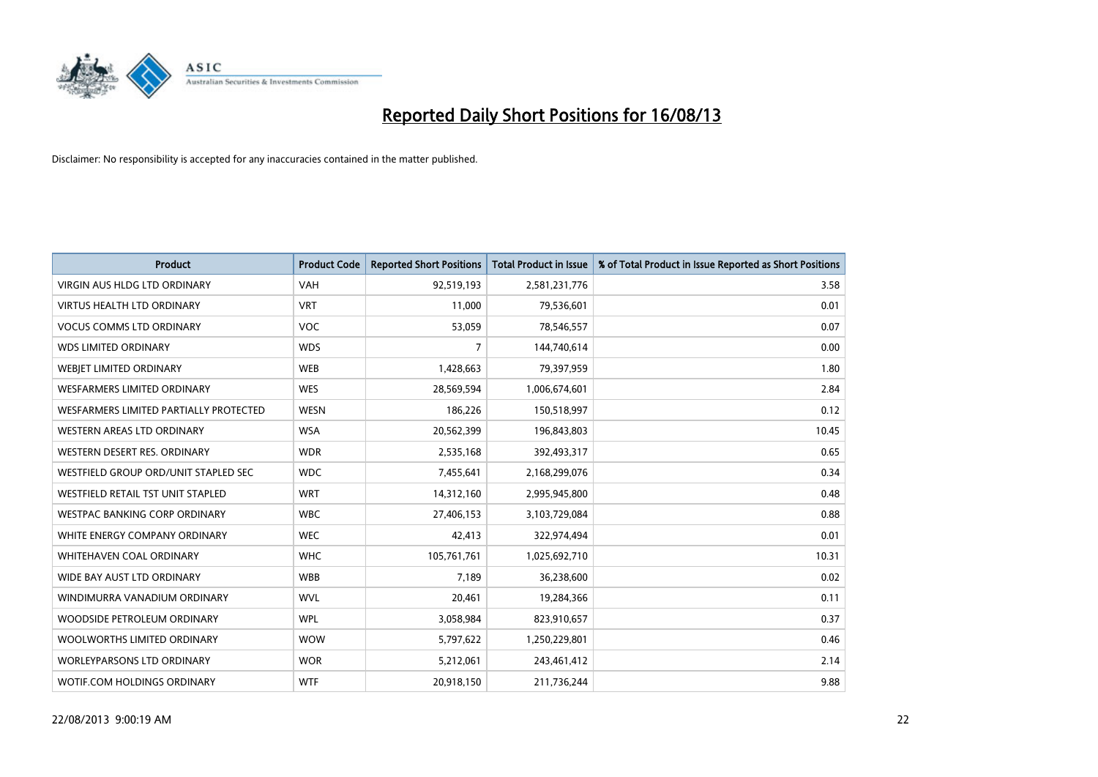

| <b>Product</b>                         | <b>Product Code</b> | <b>Reported Short Positions</b> | <b>Total Product in Issue</b> | % of Total Product in Issue Reported as Short Positions |
|----------------------------------------|---------------------|---------------------------------|-------------------------------|---------------------------------------------------------|
| VIRGIN AUS HLDG LTD ORDINARY           | <b>VAH</b>          | 92,519,193                      | 2,581,231,776                 | 3.58                                                    |
| <b>VIRTUS HEALTH LTD ORDINARY</b>      | <b>VRT</b>          | 11,000                          | 79,536,601                    | 0.01                                                    |
| <b>VOCUS COMMS LTD ORDINARY</b>        | <b>VOC</b>          | 53,059                          | 78,546,557                    | 0.07                                                    |
| <b>WDS LIMITED ORDINARY</b>            | <b>WDS</b>          | $\overline{7}$                  | 144,740,614                   | 0.00                                                    |
| WEBJET LIMITED ORDINARY                | <b>WEB</b>          | 1,428,663                       | 79,397,959                    | 1.80                                                    |
| <b>WESFARMERS LIMITED ORDINARY</b>     | <b>WES</b>          | 28,569,594                      | 1,006,674,601                 | 2.84                                                    |
| WESFARMERS LIMITED PARTIALLY PROTECTED | <b>WESN</b>         | 186,226                         | 150,518,997                   | 0.12                                                    |
| WESTERN AREAS LTD ORDINARY             | <b>WSA</b>          | 20,562,399                      | 196,843,803                   | 10.45                                                   |
| WESTERN DESERT RES. ORDINARY           | <b>WDR</b>          | 2,535,168                       | 392,493,317                   | 0.65                                                    |
| WESTFIELD GROUP ORD/UNIT STAPLED SEC   | <b>WDC</b>          | 7,455,641                       | 2,168,299,076                 | 0.34                                                    |
| WESTFIELD RETAIL TST UNIT STAPLED      | <b>WRT</b>          | 14,312,160                      | 2,995,945,800                 | 0.48                                                    |
| <b>WESTPAC BANKING CORP ORDINARY</b>   | <b>WBC</b>          | 27,406,153                      | 3,103,729,084                 | 0.88                                                    |
| WHITE ENERGY COMPANY ORDINARY          | <b>WEC</b>          | 42,413                          | 322,974,494                   | 0.01                                                    |
| WHITEHAVEN COAL ORDINARY               | <b>WHC</b>          | 105,761,761                     | 1,025,692,710                 | 10.31                                                   |
| WIDE BAY AUST LTD ORDINARY             | <b>WBB</b>          | 7,189                           | 36,238,600                    | 0.02                                                    |
| WINDIMURRA VANADIUM ORDINARY           | <b>WVL</b>          | 20,461                          | 19,284,366                    | 0.11                                                    |
| WOODSIDE PETROLEUM ORDINARY            | <b>WPL</b>          | 3,058,984                       | 823,910,657                   | 0.37                                                    |
| WOOLWORTHS LIMITED ORDINARY            | <b>WOW</b>          | 5,797,622                       | 1,250,229,801                 | 0.46                                                    |
| <b>WORLEYPARSONS LTD ORDINARY</b>      | <b>WOR</b>          | 5,212,061                       | 243,461,412                   | 2.14                                                    |
| WOTIF.COM HOLDINGS ORDINARY            | <b>WTF</b>          | 20,918,150                      | 211,736,244                   | 9.88                                                    |